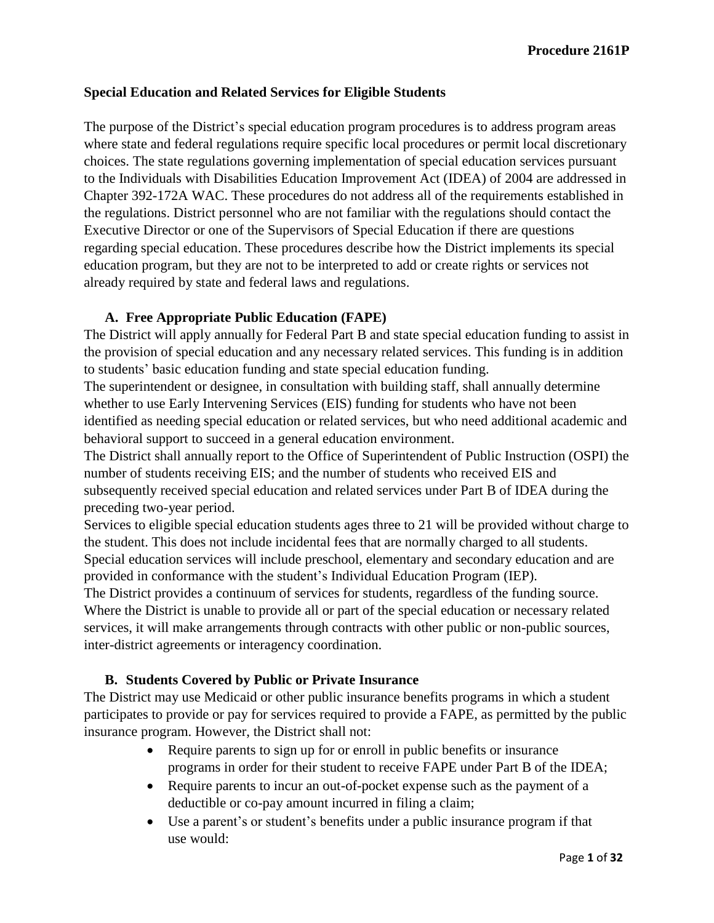### **Special Education and Related Services for Eligible Students**

The purpose of the District's special education program procedures is to address program areas where state and federal regulations require specific local procedures or permit local discretionary choices. The state regulations governing implementation of special education services pursuant to the Individuals with Disabilities Education Improvement Act (IDEA) of 2004 are addressed in Chapter 392-172A WAC. These procedures do not address all of the requirements established in the regulations. District personnel who are not familiar with the regulations should contact the Executive Director or one of the Supervisors of Special Education if there are questions regarding special education. These procedures describe how the District implements its special education program, but they are not to be interpreted to add or create rights or services not already required by state and federal laws and regulations.

### **A. Free Appropriate Public Education (FAPE)**

The District will apply annually for Federal Part B and state special education funding to assist in the provision of special education and any necessary related services. This funding is in addition to students' basic education funding and state special education funding.

The superintendent or designee, in consultation with building staff, shall annually determine whether to use Early Intervening Services (EIS) funding for students who have not been identified as needing special education or related services, but who need additional academic and behavioral support to succeed in a general education environment.

The District shall annually report to the Office of Superintendent of Public Instruction (OSPI) the number of students receiving EIS; and the number of students who received EIS and subsequently received special education and related services under Part B of IDEA during the preceding two-year period.

Services to eligible special education students ages three to 21 will be provided without charge to the student. This does not include incidental fees that are normally charged to all students. Special education services will include preschool, elementary and secondary education and are provided in conformance with the student's Individual Education Program (IEP).

The District provides a continuum of services for students, regardless of the funding source. Where the District is unable to provide all or part of the special education or necessary related services, it will make arrangements through contracts with other public or non-public sources, inter-district agreements or interagency coordination.

# **B. Students Covered by Public or Private Insurance**

The District may use Medicaid or other public insurance benefits programs in which a student participates to provide or pay for services required to provide a FAPE, as permitted by the public insurance program. However, the District shall not:

- Require parents to sign up for or enroll in public benefits or insurance programs in order for their student to receive FAPE under Part B of the IDEA;
- Require parents to incur an out-of-pocket expense such as the payment of a deductible or co-pay amount incurred in filing a claim;
- Use a parent's or student's benefits under a public insurance program if that use would: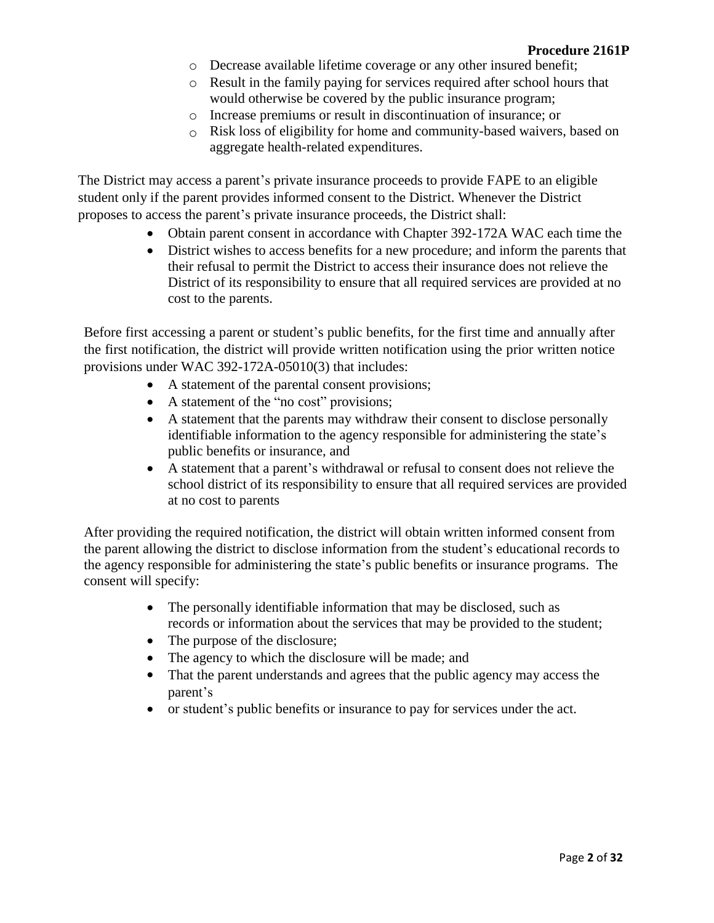- o Decrease available lifetime coverage or any other insured benefit;
- o Result in the family paying for services required after school hours that would otherwise be covered by the public insurance program;
- o Increase premiums or result in discontinuation of insurance; or
- o Risk loss of eligibility for home and community-based waivers, based on aggregate health-related expenditures.

The District may access a parent's private insurance proceeds to provide FAPE to an eligible student only if the parent provides informed consent to the District. Whenever the District proposes to access the parent's private insurance proceeds, the District shall:

- Obtain parent consent in accordance with Chapter 392-172A WAC each time the
- District wishes to access benefits for a new procedure; and inform the parents that their refusal to permit the District to access their insurance does not relieve the District of its responsibility to ensure that all required services are provided at no cost to the parents.

Before first accessing a parent or student's public benefits, for the first time and annually after the first notification, the district will provide written notification using the prior written notice provisions under WAC 392-172A-05010(3) that includes:

- A statement of the parental consent provisions;
- A statement of the "no cost" provisions;
- A statement that the parents may withdraw their consent to disclose personally identifiable information to the agency responsible for administering the state's public benefits or insurance, and
- A statement that a parent's withdrawal or refusal to consent does not relieve the school district of its responsibility to ensure that all required services are provided at no cost to parents

After providing the required notification, the district will obtain written informed consent from the parent allowing the district to disclose information from the student's educational records to the agency responsible for administering the state's public benefits or insurance programs. The consent will specify:

- The personally identifiable information that may be disclosed, such as records or information about the services that may be provided to the student;
- The purpose of the disclosure;
- The agency to which the disclosure will be made; and
- That the parent understands and agrees that the public agency may access the parent's
- or student's public benefits or insurance to pay for services under the act.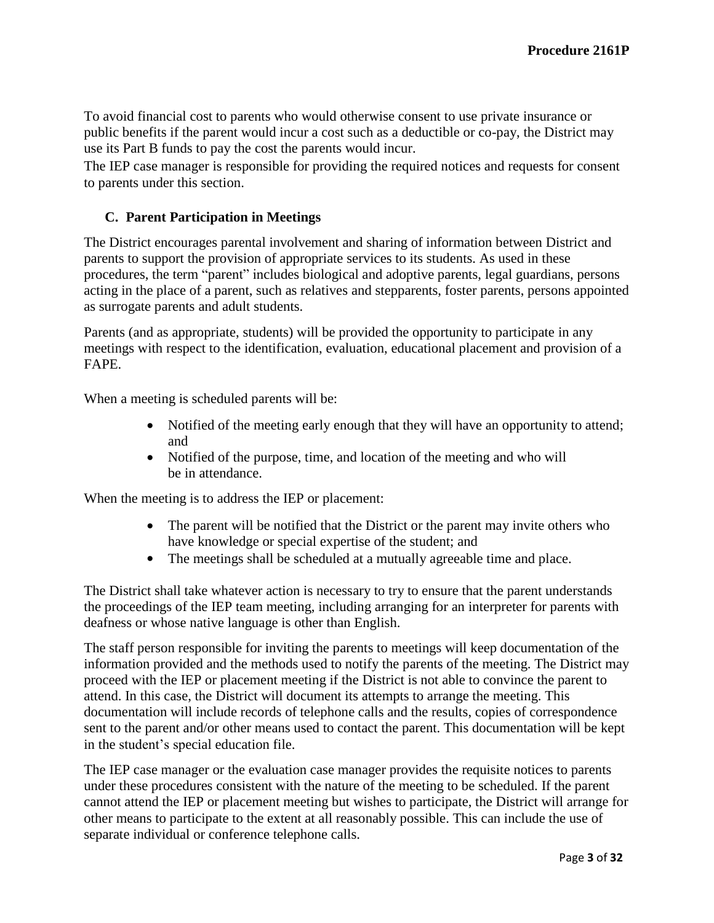To avoid financial cost to parents who would otherwise consent to use private insurance or public benefits if the parent would incur a cost such as a deductible or co-pay, the District may use its Part B funds to pay the cost the parents would incur.

The IEP case manager is responsible for providing the required notices and requests for consent to parents under this section.

# **C. Parent Participation in Meetings**

The District encourages parental involvement and sharing of information between District and parents to support the provision of appropriate services to its students. As used in these procedures, the term "parent" includes biological and adoptive parents, legal guardians, persons acting in the place of a parent, such as relatives and stepparents, foster parents, persons appointed as surrogate parents and adult students.

Parents (and as appropriate, students) will be provided the opportunity to participate in any meetings with respect to the identification, evaluation, educational placement and provision of a FAPE.

When a meeting is scheduled parents will be:

- Notified of the meeting early enough that they will have an opportunity to attend; and
- Notified of the purpose, time, and location of the meeting and who will be in attendance.

When the meeting is to address the IEP or placement:

- The parent will be notified that the District or the parent may invite others who have knowledge or special expertise of the student; and
- The meetings shall be scheduled at a mutually agreeable time and place.

The District shall take whatever action is necessary to try to ensure that the parent understands the proceedings of the IEP team meeting, including arranging for an interpreter for parents with deafness or whose native language is other than English.

The staff person responsible for inviting the parents to meetings will keep documentation of the information provided and the methods used to notify the parents of the meeting. The District may proceed with the IEP or placement meeting if the District is not able to convince the parent to attend. In this case, the District will document its attempts to arrange the meeting. This documentation will include records of telephone calls and the results, copies of correspondence sent to the parent and/or other means used to contact the parent. This documentation will be kept in the student's special education file.

The IEP case manager or the evaluation case manager provides the requisite notices to parents under these procedures consistent with the nature of the meeting to be scheduled. If the parent cannot attend the IEP or placement meeting but wishes to participate, the District will arrange for other means to participate to the extent at all reasonably possible. This can include the use of separate individual or conference telephone calls.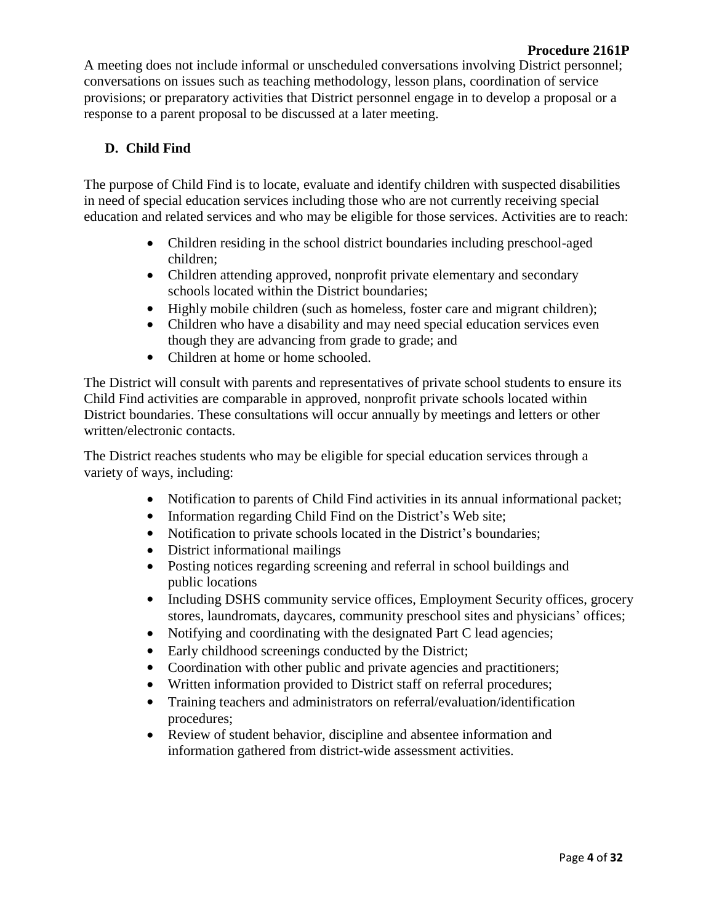A meeting does not include informal or unscheduled conversations involving District personnel; conversations on issues such as teaching methodology, lesson plans, coordination of service provisions; or preparatory activities that District personnel engage in to develop a proposal or a response to a parent proposal to be discussed at a later meeting.

# **D. Child Find**

The purpose of Child Find is to locate, evaluate and identify children with suspected disabilities in need of special education services including those who are not currently receiving special education and related services and who may be eligible for those services. Activities are to reach:

- Children residing in the school district boundaries including preschool-aged children;
- Children attending approved, nonprofit private elementary and secondary schools located within the District boundaries;
- Highly mobile children (such as homeless, foster care and migrant children);
- Children who have a disability and may need special education services even though they are advancing from grade to grade; and
- Children at home or home schooled.

The District will consult with parents and representatives of private school students to ensure its Child Find activities are comparable in approved, nonprofit private schools located within District boundaries. These consultations will occur annually by meetings and letters or other written/electronic contacts.

The District reaches students who may be eligible for special education services through a variety of ways, including:

- Notification to parents of Child Find activities in its annual informational packet;
- Information regarding Child Find on the District's Web site;
- Notification to private schools located in the District's boundaries;
- District informational mailings
- Posting notices regarding screening and referral in school buildings and public locations
- Including DSHS community service offices, Employment Security offices, grocery stores, laundromats, daycares, community preschool sites and physicians' offices;
- Notifying and coordinating with the designated Part C lead agencies;
- Early childhood screenings conducted by the District;
- Coordination with other public and private agencies and practitioners;
- Written information provided to District staff on referral procedures;
- Training teachers and administrators on referral/evaluation/identification procedures;
- Review of student behavior, discipline and absentee information and information gathered from district-wide assessment activities.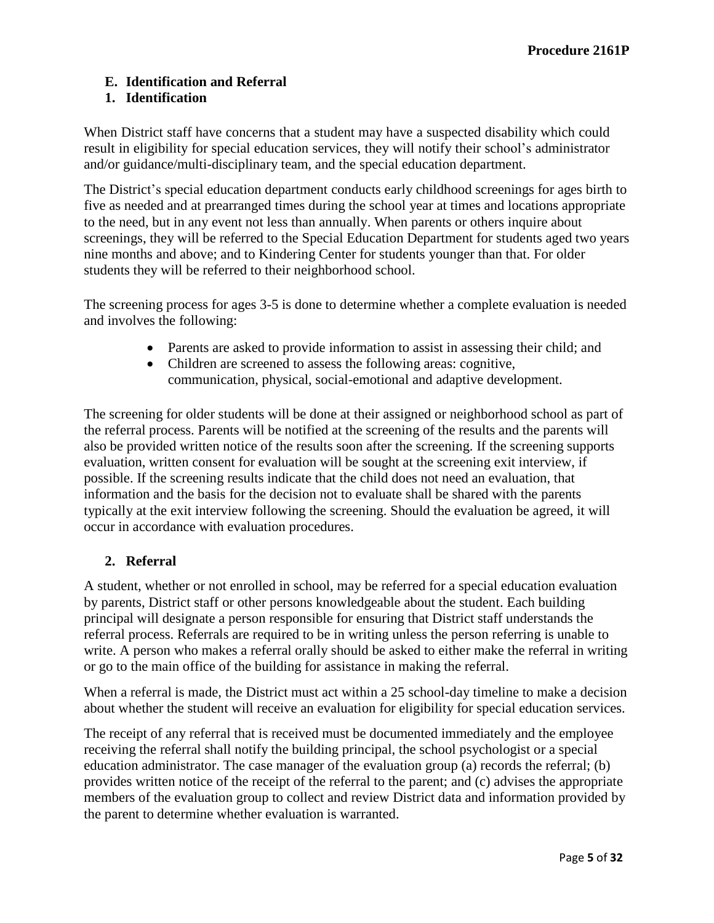# **E. Identification and Referral**

# **1. Identification**

When District staff have concerns that a student may have a suspected disability which could result in eligibility for special education services, they will notify their school's administrator and/or guidance/multi-disciplinary team, and the special education department.

The District's special education department conducts early childhood screenings for ages birth to five as needed and at prearranged times during the school year at times and locations appropriate to the need, but in any event not less than annually. When parents or others inquire about screenings, they will be referred to the Special Education Department for students aged two years nine months and above; and to Kindering Center for students younger than that. For older students they will be referred to their neighborhood school.

The screening process for ages 3-5 is done to determine whether a complete evaluation is needed and involves the following:

- Parents are asked to provide information to assist in assessing their child; and
- Children are screened to assess the following areas: cognitive, communication, physical, social-emotional and adaptive development.

The screening for older students will be done at their assigned or neighborhood school as part of the referral process. Parents will be notified at the screening of the results and the parents will also be provided written notice of the results soon after the screening. If the screening supports evaluation, written consent for evaluation will be sought at the screening exit interview, if possible. If the screening results indicate that the child does not need an evaluation, that information and the basis for the decision not to evaluate shall be shared with the parents typically at the exit interview following the screening. Should the evaluation be agreed, it will occur in accordance with evaluation procedures.

# **2. Referral**

A student, whether or not enrolled in school, may be referred for a special education evaluation by parents, District staff or other persons knowledgeable about the student. Each building principal will designate a person responsible for ensuring that District staff understands the referral process. Referrals are required to be in writing unless the person referring is unable to write. A person who makes a referral orally should be asked to either make the referral in writing or go to the main office of the building for assistance in making the referral.

When a referral is made, the District must act within a 25 school-day timeline to make a decision about whether the student will receive an evaluation for eligibility for special education services.

The receipt of any referral that is received must be documented immediately and the employee receiving the referral shall notify the building principal, the school psychologist or a special education administrator. The case manager of the evaluation group (a) records the referral; (b) provides written notice of the receipt of the referral to the parent; and (c) advises the appropriate members of the evaluation group to collect and review District data and information provided by the parent to determine whether evaluation is warranted.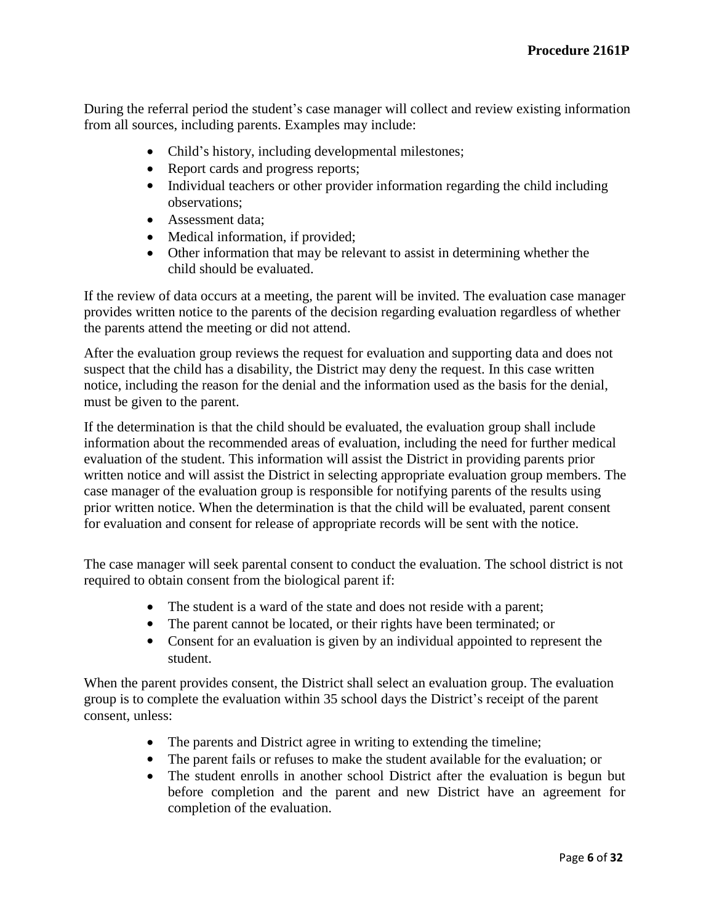During the referral period the student's case manager will collect and review existing information from all sources, including parents. Examples may include:

- Child's history, including developmental milestones;
- Report cards and progress reports;
- Individual teachers or other provider information regarding the child including observations;
- Assessment data;
- Medical information, if provided;
- Other information that may be relevant to assist in determining whether the child should be evaluated.

If the review of data occurs at a meeting, the parent will be invited. The evaluation case manager provides written notice to the parents of the decision regarding evaluation regardless of whether the parents attend the meeting or did not attend.

After the evaluation group reviews the request for evaluation and supporting data and does not suspect that the child has a disability, the District may deny the request. In this case written notice, including the reason for the denial and the information used as the basis for the denial, must be given to the parent.

If the determination is that the child should be evaluated, the evaluation group shall include information about the recommended areas of evaluation, including the need for further medical evaluation of the student. This information will assist the District in providing parents prior written notice and will assist the District in selecting appropriate evaluation group members. The case manager of the evaluation group is responsible for notifying parents of the results using prior written notice. When the determination is that the child will be evaluated, parent consent for evaluation and consent for release of appropriate records will be sent with the notice.

The case manager will seek parental consent to conduct the evaluation. The school district is not required to obtain consent from the biological parent if:

- The student is a ward of the state and does not reside with a parent;
- The parent cannot be located, or their rights have been terminated; or
- Consent for an evaluation is given by an individual appointed to represent the student.

When the parent provides consent, the District shall select an evaluation group. The evaluation group is to complete the evaluation within 35 school days the District's receipt of the parent consent, unless:

- The parents and District agree in writing to extending the timeline;
- The parent fails or refuses to make the student available for the evaluation; or
- The student enrolls in another school District after the evaluation is begun but before completion and the parent and new District have an agreement for completion of the evaluation.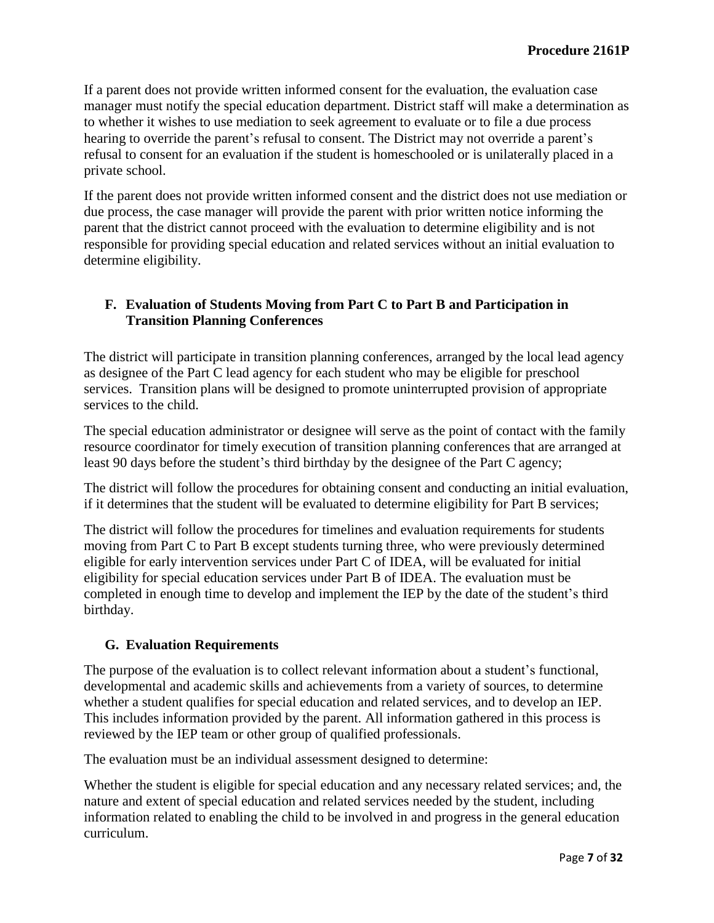If a parent does not provide written informed consent for the evaluation, the evaluation case manager must notify the special education department. District staff will make a determination as to whether it wishes to use mediation to seek agreement to evaluate or to file a due process hearing to override the parent's refusal to consent. The District may not override a parent's refusal to consent for an evaluation if the student is homeschooled or is unilaterally placed in a private school.

If the parent does not provide written informed consent and the district does not use mediation or due process, the case manager will provide the parent with prior written notice informing the parent that the district cannot proceed with the evaluation to determine eligibility and is not responsible for providing special education and related services without an initial evaluation to determine eligibility.

## **F. Evaluation of Students Moving from Part C to Part B and Participation in Transition Planning Conferences**

The district will participate in transition planning conferences, arranged by the local lead agency as designee of the Part C lead agency for each student who may be eligible for preschool services. Transition plans will be designed to promote uninterrupted provision of appropriate services to the child.

The special education administrator or designee will serve as the point of contact with the family resource coordinator for timely execution of transition planning conferences that are arranged at least 90 days before the student's third birthday by the designee of the Part C agency;

The district will follow the procedures for obtaining consent and conducting an initial evaluation, if it determines that the student will be evaluated to determine eligibility for Part B services;

The district will follow the procedures for timelines and evaluation requirements for students moving from Part C to Part B except students turning three, who were previously determined eligible for early intervention services under Part C of IDEA, will be evaluated for initial eligibility for special education services under Part B of IDEA. The evaluation must be completed in enough time to develop and implement the IEP by the date of the student's third birthday.

# **G. Evaluation Requirements**

The purpose of the evaluation is to collect relevant information about a student's functional, developmental and academic skills and achievements from a variety of sources, to determine whether a student qualifies for special education and related services, and to develop an IEP. This includes information provided by the parent. All information gathered in this process is reviewed by the IEP team or other group of qualified professionals.

The evaluation must be an individual assessment designed to determine:

Whether the student is eligible for special education and any necessary related services; and, the nature and extent of special education and related services needed by the student, including information related to enabling the child to be involved in and progress in the general education curriculum.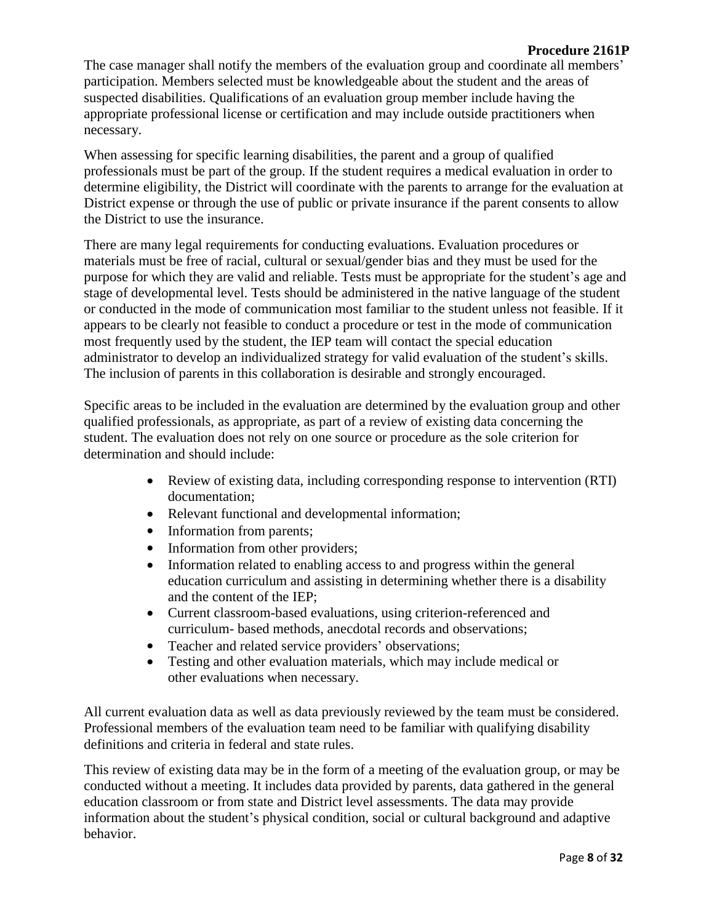#### **Procedure 2161P**

The case manager shall notify the members of the evaluation group and coordinate all members' participation. Members selected must be knowledgeable about the student and the areas of suspected disabilities. Qualifications of an evaluation group member include having the appropriate professional license or certification and may include outside practitioners when necessary.

When assessing for specific learning disabilities, the parent and a group of qualified professionals must be part of the group. If the student requires a medical evaluation in order to determine eligibility, the District will coordinate with the parents to arrange for the evaluation at District expense or through the use of public or private insurance if the parent consents to allow the District to use the insurance.

There are many legal requirements for conducting evaluations. Evaluation procedures or materials must be free of racial, cultural or sexual/gender bias and they must be used for the purpose for which they are valid and reliable. Tests must be appropriate for the student's age and stage of developmental level. Tests should be administered in the native language of the student or conducted in the mode of communication most familiar to the student unless not feasible. If it appears to be clearly not feasible to conduct a procedure or test in the mode of communication most frequently used by the student, the IEP team will contact the special education administrator to develop an individualized strategy for valid evaluation of the student's skills. The inclusion of parents in this collaboration is desirable and strongly encouraged.

Specific areas to be included in the evaluation are determined by the evaluation group and other qualified professionals, as appropriate, as part of a review of existing data concerning the student. The evaluation does not rely on one source or procedure as the sole criterion for determination and should include:

- Review of existing data, including corresponding response to intervention (RTI) documentation;
- Relevant functional and developmental information;
- Information from parents;
- Information from other providers;
- Information related to enabling access to and progress within the general education curriculum and assisting in determining whether there is a disability and the content of the IEP;
- Current classroom-based evaluations, using criterion-referenced and curriculum- based methods, anecdotal records and observations;
- Teacher and related service providers' observations;<br>• Testing and other evaluation materials, which may in
- Testing and other evaluation materials, which may include medical or other evaluations when necessary.

All current evaluation data as well as data previously reviewed by the team must be considered. Professional members of the evaluation team need to be familiar with qualifying disability definitions and criteria in federal and state rules.

This review of existing data may be in the form of a meeting of the evaluation group, or may be conducted without a meeting. It includes data provided by parents, data gathered in the general education classroom or from state and District level assessments. The data may provide information about the student's physical condition, social or cultural background and adaptive behavior.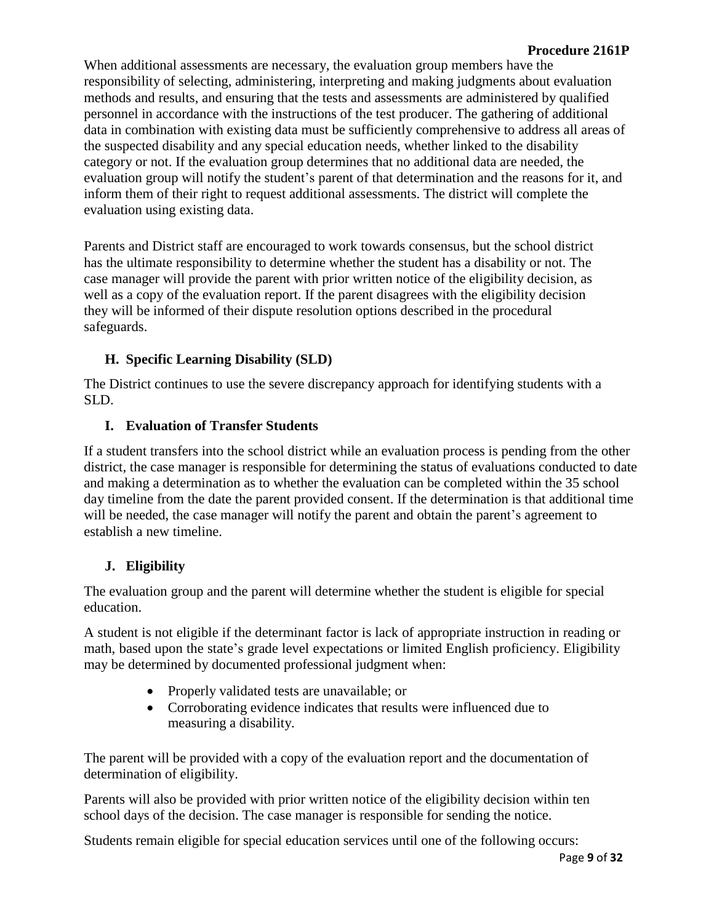### **Procedure 2161P**

When additional assessments are necessary, the evaluation group members have the responsibility of selecting, administering, interpreting and making judgments about evaluation methods and results, and ensuring that the tests and assessments are administered by qualified personnel in accordance with the instructions of the test producer. The gathering of additional data in combination with existing data must be sufficiently comprehensive to address all areas of the suspected disability and any special education needs, whether linked to the disability category or not. If the evaluation group determines that no additional data are needed, the evaluation group will notify the student's parent of that determination and the reasons for it, and inform them of their right to request additional assessments. The district will complete the evaluation using existing data.

Parents and District staff are encouraged to work towards consensus, but the school district has the ultimate responsibility to determine whether the student has a disability or not. The case manager will provide the parent with prior written notice of the eligibility decision, as well as a copy of the evaluation report. If the parent disagrees with the eligibility decision they will be informed of their dispute resolution options described in the procedural safeguards.

# **H. Specific Learning Disability (SLD)**

The District continues to use the severe discrepancy approach for identifying students with a SLD.

### **I. Evaluation of Transfer Students**

If a student transfers into the school district while an evaluation process is pending from the other district, the case manager is responsible for determining the status of evaluations conducted to date and making a determination as to whether the evaluation can be completed within the 35 school day timeline from the date the parent provided consent. If the determination is that additional time will be needed, the case manager will notify the parent and obtain the parent's agreement to establish a new timeline.

# **J. Eligibility**

The evaluation group and the parent will determine whether the student is eligible for special education.

A student is not eligible if the determinant factor is lack of appropriate instruction in reading or math, based upon the state's grade level expectations or limited English proficiency. Eligibility may be determined by documented professional judgment when:

- Properly validated tests are unavailable; or
- Corroborating evidence indicates that results were influenced due to measuring a disability.

The parent will be provided with a copy of the evaluation report and the documentation of determination of eligibility.

Parents will also be provided with prior written notice of the eligibility decision within ten school days of the decision. The case manager is responsible for sending the notice.

Students remain eligible for special education services until one of the following occurs: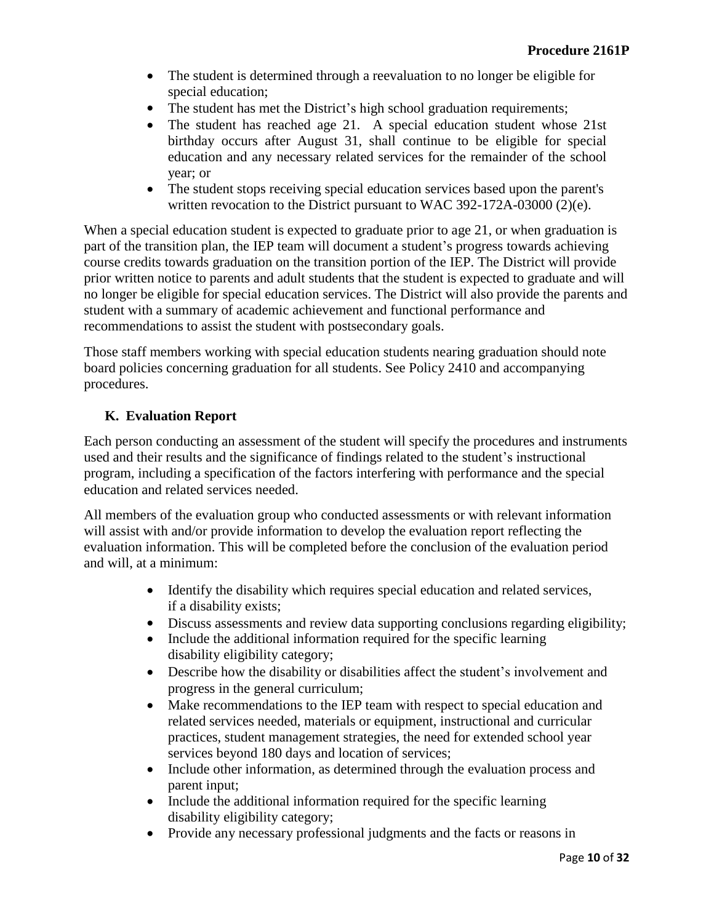- The student is determined through a reevaluation to no longer be eligible for special education;
- The student has met the District's high school graduation requirements;
- The student has reached age 21. A special education student whose 21st birthday occurs after August 31, shall continue to be eligible for special education and any necessary related services for the remainder of the school year; or
- The student stops receiving special education services based upon the parent's written revocation to the District pursuant to WAC 392-172A-03000 (2)(e).

When a special education student is expected to graduate prior to age 21, or when graduation is part of the transition plan, the IEP team will document a student's progress towards achieving course credits towards graduation on the transition portion of the IEP. The District will provide prior written notice to parents and adult students that the student is expected to graduate and will no longer be eligible for special education services. The District will also provide the parents and student with a summary of academic achievement and functional performance and recommendations to assist the student with postsecondary goals.

Those staff members working with special education students nearing graduation should note board policies concerning graduation for all students. See Policy 2410 and accompanying procedures.

# **K. Evaluation Report**

Each person conducting an assessment of the student will specify the procedures and instruments used and their results and the significance of findings related to the student's instructional program, including a specification of the factors interfering with performance and the special education and related services needed.

All members of the evaluation group who conducted assessments or with relevant information will assist with and/or provide information to develop the evaluation report reflecting the evaluation information. This will be completed before the conclusion of the evaluation period and will, at a minimum:

- Identify the disability which requires special education and related services, if a disability exists;
- Discuss assessments and review data supporting conclusions regarding eligibility;
- Include the additional information required for the specific learning disability eligibility category;
- Describe how the disability or disabilities affect the student's involvement and progress in the general curriculum;
- Make recommendations to the IEP team with respect to special education and related services needed, materials or equipment, instructional and curricular practices, student management strategies, the need for extended school year services beyond 180 days and location of services;
- Include other information, as determined through the evaluation process and parent input;
- Include the additional information required for the specific learning disability eligibility category;
- Provide any necessary professional judgments and the facts or reasons in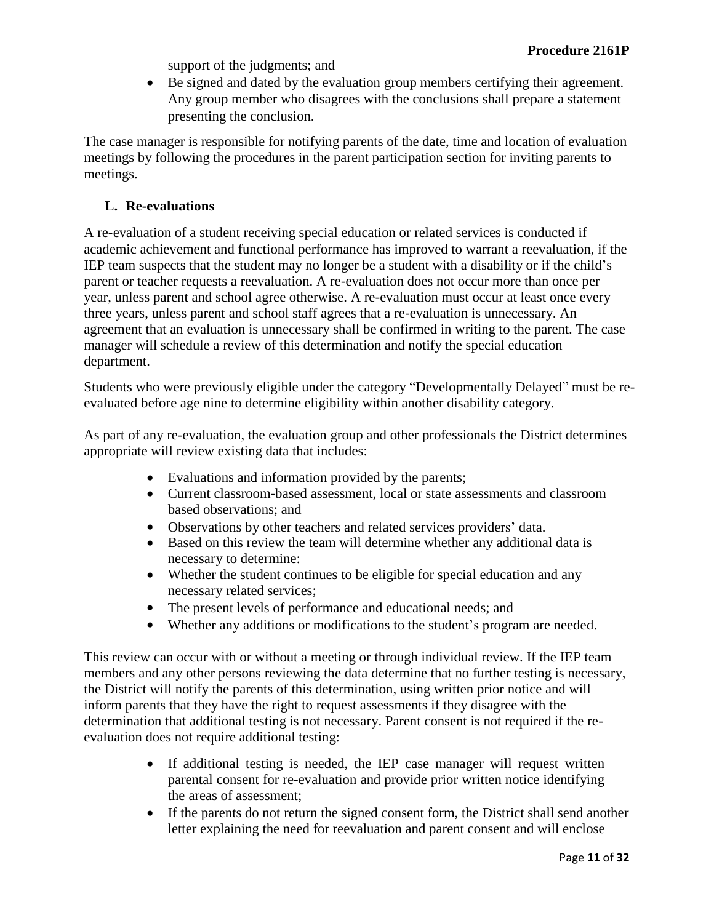support of the judgments; and

 Be signed and dated by the evaluation group members certifying their agreement. Any group member who disagrees with the conclusions shall prepare a statement presenting the conclusion.

The case manager is responsible for notifying parents of the date, time and location of evaluation meetings by following the procedures in the parent participation section for inviting parents to meetings.

### **L. Re-evaluations**

A re-evaluation of a student receiving special education or related services is conducted if academic achievement and functional performance has improved to warrant a reevaluation, if the IEP team suspects that the student may no longer be a student with a disability or if the child's parent or teacher requests a reevaluation. A re-evaluation does not occur more than once per year, unless parent and school agree otherwise. A re-evaluation must occur at least once every three years, unless parent and school staff agrees that a re-evaluation is unnecessary. An agreement that an evaluation is unnecessary shall be confirmed in writing to the parent. The case manager will schedule a review of this determination and notify the special education department.

Students who were previously eligible under the category "Developmentally Delayed" must be reevaluated before age nine to determine eligibility within another disability category.

As part of any re-evaluation, the evaluation group and other professionals the District determines appropriate will review existing data that includes:

- Evaluations and information provided by the parents;
- Current classroom-based assessment, local or state assessments and classroom based observations; and
- Observations by other teachers and related services providers' data.
- Based on this review the team will determine whether any additional data is necessary to determine:
- Whether the student continues to be eligible for special education and any necessary related services;
- The present levels of performance and educational needs; and
- Whether any additions or modifications to the student's program are needed.

This review can occur with or without a meeting or through individual review. If the IEP team members and any other persons reviewing the data determine that no further testing is necessary, the District will notify the parents of this determination, using written prior notice and will inform parents that they have the right to request assessments if they disagree with the determination that additional testing is not necessary. Parent consent is not required if the reevaluation does not require additional testing:

- If additional testing is needed, the IEP case manager will request written parental consent for re-evaluation and provide prior written notice identifying the areas of assessment;
- If the parents do not return the signed consent form, the District shall send another letter explaining the need for reevaluation and parent consent and will enclose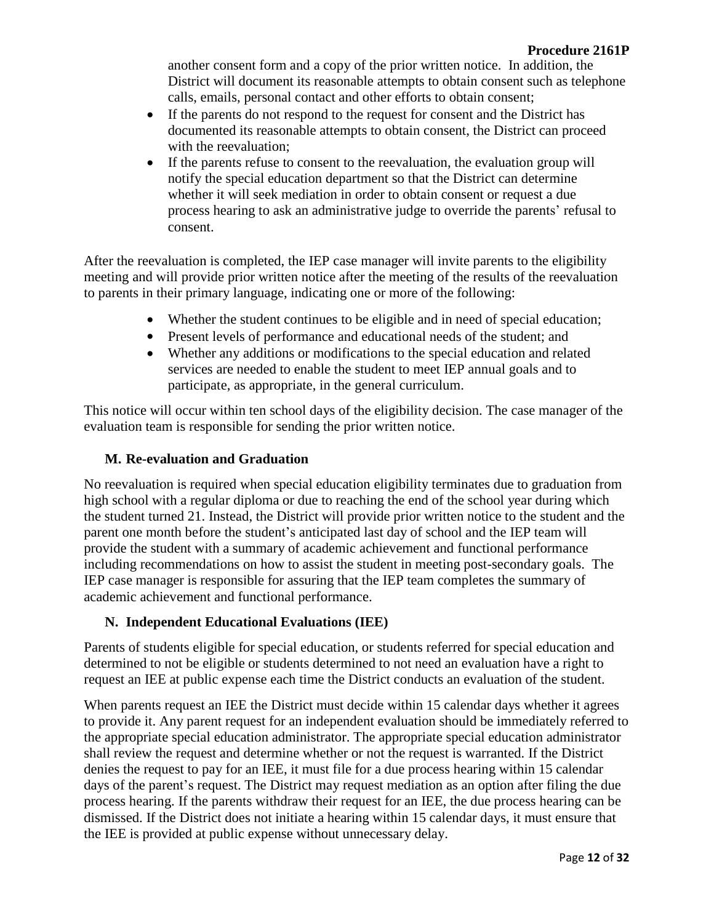another consent form and a copy of the prior written notice. In addition, the District will document its reasonable attempts to obtain consent such as telephone calls, emails, personal contact and other efforts to obtain consent;

- If the parents do not respond to the request for consent and the District has documented its reasonable attempts to obtain consent, the District can proceed with the reevaluation;
- If the parents refuse to consent to the reevaluation, the evaluation group will notify the special education department so that the District can determine whether it will seek mediation in order to obtain consent or request a due process hearing to ask an administrative judge to override the parents' refusal to consent.

After the reevaluation is completed, the IEP case manager will invite parents to the eligibility meeting and will provide prior written notice after the meeting of the results of the reevaluation to parents in their primary language, indicating one or more of the following:

- Whether the student continues to be eligible and in need of special education;
- Present levels of performance and educational needs of the student; and
- Whether any additions or modifications to the special education and related services are needed to enable the student to meet IEP annual goals and to participate, as appropriate, in the general curriculum.

This notice will occur within ten school days of the eligibility decision. The case manager of the evaluation team is responsible for sending the prior written notice.

# **M. Re-evaluation and Graduation**

No reevaluation is required when special education eligibility terminates due to graduation from high school with a regular diploma or due to reaching the end of the school year during which the student turned 21. Instead, the District will provide prior written notice to the student and the parent one month before the student's anticipated last day of school and the IEP team will provide the student with a summary of academic achievement and functional performance including recommendations on how to assist the student in meeting post-secondary goals. The IEP case manager is responsible for assuring that the IEP team completes the summary of academic achievement and functional performance.

# **N. Independent Educational Evaluations (IEE)**

Parents of students eligible for special education, or students referred for special education and determined to not be eligible or students determined to not need an evaluation have a right to request an IEE at public expense each time the District conducts an evaluation of the student.

When parents request an IEE the District must decide within 15 calendar days whether it agrees to provide it. Any parent request for an independent evaluation should be immediately referred to the appropriate special education administrator. The appropriate special education administrator shall review the request and determine whether or not the request is warranted. If the District denies the request to pay for an IEE, it must file for a due process hearing within 15 calendar days of the parent's request. The District may request mediation as an option after filing the due process hearing. If the parents withdraw their request for an IEE, the due process hearing can be dismissed. If the District does not initiate a hearing within 15 calendar days, it must ensure that the IEE is provided at public expense without unnecessary delay.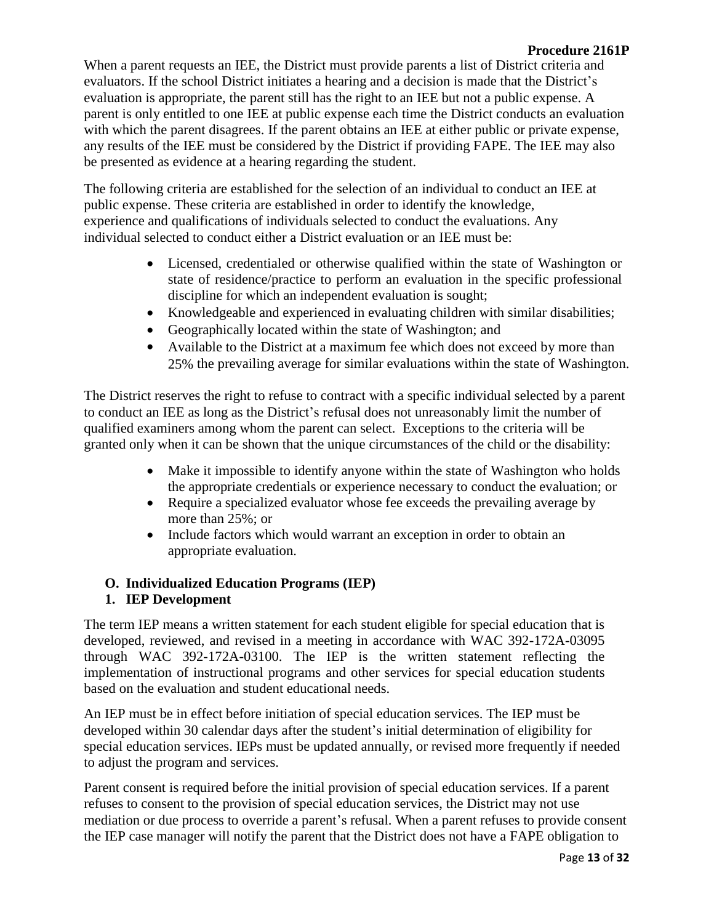### **Procedure 2161P**

When a parent requests an IEE, the District must provide parents a list of District criteria and evaluators. If the school District initiates a hearing and a decision is made that the District's evaluation is appropriate, the parent still has the right to an IEE but not a public expense. A parent is only entitled to one IEE at public expense each time the District conducts an evaluation with which the parent disagrees. If the parent obtains an IEE at either public or private expense, any results of the IEE must be considered by the District if providing FAPE. The IEE may also be presented as evidence at a hearing regarding the student.

The following criteria are established for the selection of an individual to conduct an IEE at public expense. These criteria are established in order to identify the knowledge, experience and qualifications of individuals selected to conduct the evaluations. Any individual selected to conduct either a District evaluation or an IEE must be:

- Licensed, credentialed or otherwise qualified within the state of Washington or state of residence/practice to perform an evaluation in the specific professional discipline for which an independent evaluation is sought;
- Knowledgeable and experienced in evaluating children with similar disabilities;
- Geographically located within the state of Washington; and
- Available to the District at a maximum fee which does not exceed by more than 25% the prevailing average for similar evaluations within the state of Washington.

The District reserves the right to refuse to contract with a specific individual selected by a parent to conduct an IEE as long as the District's refusal does not unreasonably limit the number of qualified examiners among whom the parent can select. Exceptions to the criteria will be granted only when it can be shown that the unique circumstances of the child or the disability:

- Make it impossible to identify anyone within the state of Washington who holds the appropriate credentials or experience necessary to conduct the evaluation; or
- Require a specialized evaluator whose fee exceeds the prevailing average by more than 25%; or
- Include factors which would warrant an exception in order to obtain an appropriate evaluation.

# **O. Individualized Education Programs (IEP)**

# **1. IEP Development**

The term IEP means a written statement for each student eligible for special education that is developed, reviewed, and revised in a meeting in accordance with WAC 392-172A-03095 through WAC 392-172A-03100. The IEP is the written statement reflecting the implementation of instructional programs and other services for special education students based on the evaluation and student educational needs.

An IEP must be in effect before initiation of special education services. The IEP must be developed within 30 calendar days after the student's initial determination of eligibility for special education services. IEPs must be updated annually, or revised more frequently if needed to adjust the program and services.

Parent consent is required before the initial provision of special education services. If a parent refuses to consent to the provision of special education services, the District may not use mediation or due process to override a parent's refusal. When a parent refuses to provide consent the IEP case manager will notify the parent that the District does not have a FAPE obligation to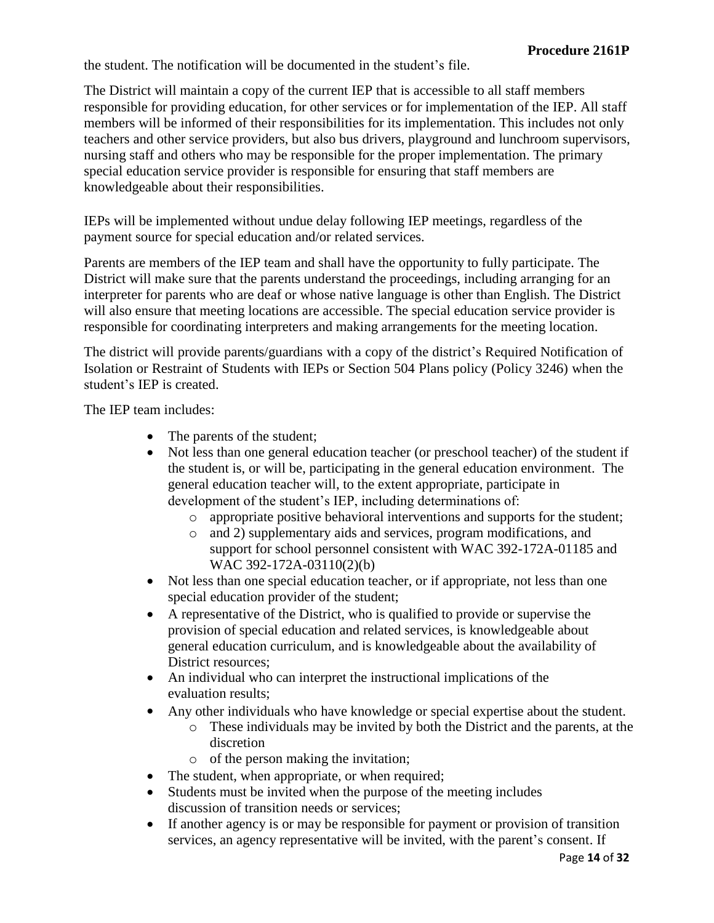the student. The notification will be documented in the student's file.

The District will maintain a copy of the current IEP that is accessible to all staff members responsible for providing education, for other services or for implementation of the IEP. All staff members will be informed of their responsibilities for its implementation. This includes not only teachers and other service providers, but also bus drivers, playground and lunchroom supervisors, nursing staff and others who may be responsible for the proper implementation. The primary special education service provider is responsible for ensuring that staff members are knowledgeable about their responsibilities.

IEPs will be implemented without undue delay following IEP meetings, regardless of the payment source for special education and/or related services.

Parents are members of the IEP team and shall have the opportunity to fully participate. The District will make sure that the parents understand the proceedings, including arranging for an interpreter for parents who are deaf or whose native language is other than English. The District will also ensure that meeting locations are accessible. The special education service provider is responsible for coordinating interpreters and making arrangements for the meeting location.

The district will provide parents/guardians with a copy of the district's Required Notification of Isolation or Restraint of Students with IEPs or Section 504 Plans policy (Policy 3246) when the student's IEP is created.

The IEP team includes:

- The parents of the student;
- Not less than one general education teacher (or preschool teacher) of the student if the student is, or will be, participating in the general education environment. The general education teacher will, to the extent appropriate, participate in development of the student's IEP, including determinations of:
	- o appropriate positive behavioral interventions and supports for the student;
	- o and 2) supplementary aids and services, program modifications, and support for school personnel consistent with WAC 392-172A-01185 and WAC 392-172A-03110(2)(b)
- Not less than one special education teacher, or if appropriate, not less than one special education provider of the student;
- A representative of the District, who is qualified to provide or supervise the provision of special education and related services, is knowledgeable about general education curriculum, and is knowledgeable about the availability of District resources;
- An individual who can interpret the instructional implications of the evaluation results;
- Any other individuals who have knowledge or special expertise about the student.
	- o These individuals may be invited by both the District and the parents, at the discretion
	- o of the person making the invitation;
- The student, when appropriate, or when required;
- Students must be invited when the purpose of the meeting includes discussion of transition needs or services;
- If another agency is or may be responsible for payment or provision of transition services, an agency representative will be invited, with the parent's consent. If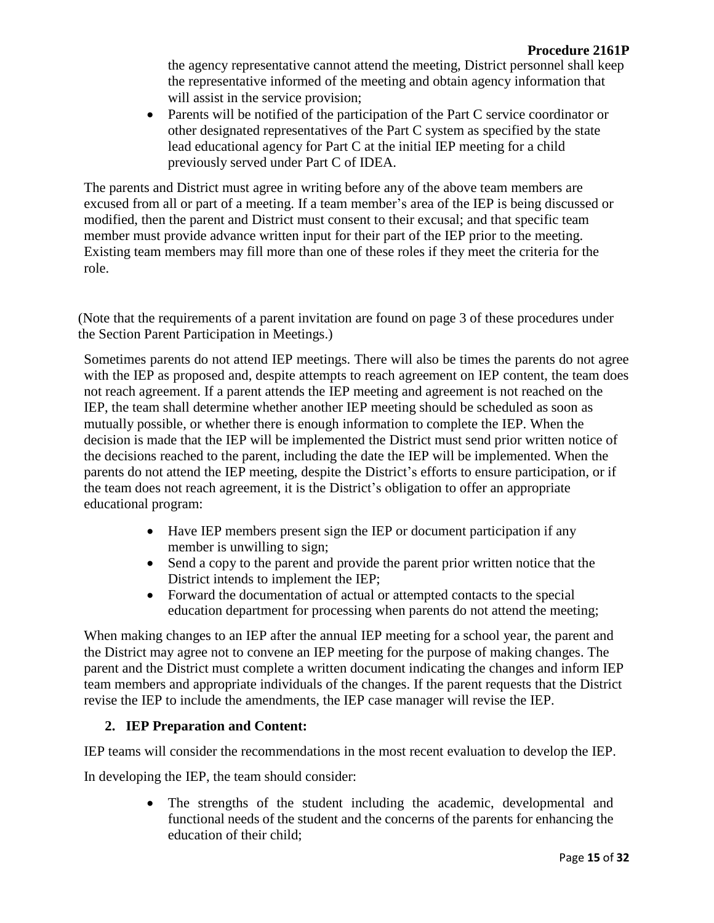the agency representative cannot attend the meeting, District personnel shall keep the representative informed of the meeting and obtain agency information that will assist in the service provision;

• Parents will be notified of the participation of the Part C service coordinator or other designated representatives of the Part C system as specified by the state lead educational agency for Part C at the initial IEP meeting for a child previously served under Part C of IDEA.

The parents and District must agree in writing before any of the above team members are excused from all or part of a meeting. If a team member's area of the IEP is being discussed or modified, then the parent and District must consent to their excusal; and that specific team member must provide advance written input for their part of the IEP prior to the meeting. Existing team members may fill more than one of these roles if they meet the criteria for the role.

(Note that the requirements of a parent invitation are found on page 3 of these procedures under the Section Parent Participation in Meetings.)

Sometimes parents do not attend IEP meetings. There will also be times the parents do not agree with the IEP as proposed and, despite attempts to reach agreement on IEP content, the team does not reach agreement. If a parent attends the IEP meeting and agreement is not reached on the IEP, the team shall determine whether another IEP meeting should be scheduled as soon as mutually possible, or whether there is enough information to complete the IEP. When the decision is made that the IEP will be implemented the District must send prior written notice of the decisions reached to the parent, including the date the IEP will be implemented. When the parents do not attend the IEP meeting, despite the District's efforts to ensure participation, or if the team does not reach agreement, it is the District's obligation to offer an appropriate educational program:

- Have IEP members present sign the IEP or document participation if any member is unwilling to sign;
- Send a copy to the parent and provide the parent prior written notice that the District intends to implement the IEP;
- Forward the documentation of actual or attempted contacts to the special education department for processing when parents do not attend the meeting;

When making changes to an IEP after the annual IEP meeting for a school year, the parent and the District may agree not to convene an IEP meeting for the purpose of making changes. The parent and the District must complete a written document indicating the changes and inform IEP team members and appropriate individuals of the changes. If the parent requests that the District revise the IEP to include the amendments, the IEP case manager will revise the IEP.

# **2. IEP Preparation and Content:**

IEP teams will consider the recommendations in the most recent evaluation to develop the IEP.

In developing the IEP, the team should consider:

 The strengths of the student including the academic, developmental and functional needs of the student and the concerns of the parents for enhancing the education of their child;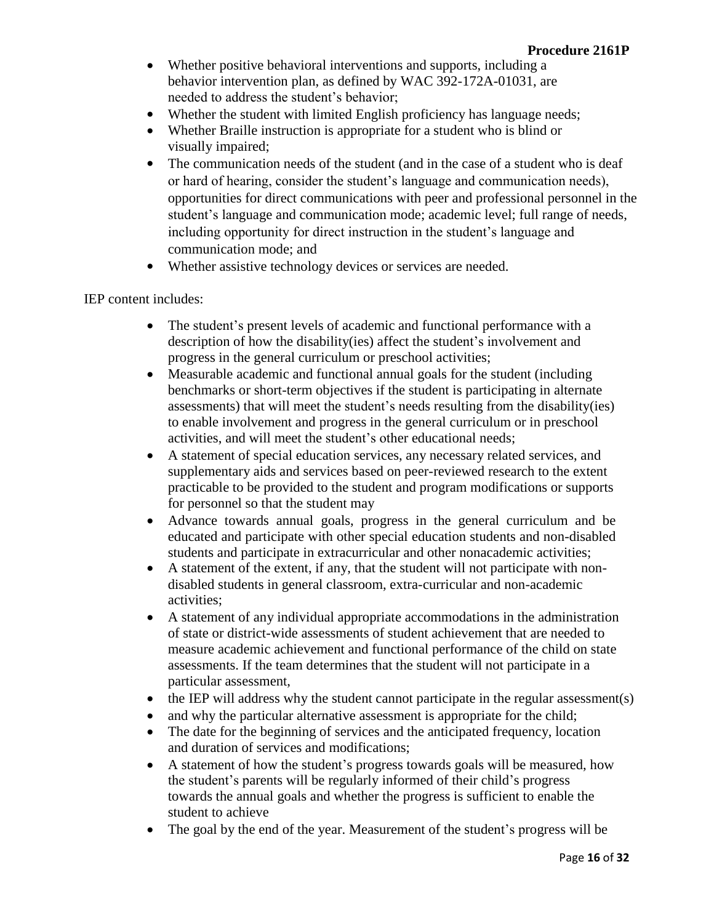- Whether positive behavioral interventions and supports, including a behavior intervention plan, as defined by WAC 392-172A-01031, are needed to address the student's behavior;
- Whether the student with limited English proficiency has language needs;
- Whether Braille instruction is appropriate for a student who is blind or visually impaired;
- The communication needs of the student (and in the case of a student who is deaf or hard of hearing, consider the student's language and communication needs), opportunities for direct communications with peer and professional personnel in the student's language and communication mode; academic level; full range of needs, including opportunity for direct instruction in the student's language and communication mode; and
- Whether assistive technology devices or services are needed.

### IEP content includes:

- The student's present levels of academic and functional performance with a description of how the disability(ies) affect the student's involvement and progress in the general curriculum or preschool activities;
- Measurable academic and functional annual goals for the student (including benchmarks or short-term objectives if the student is participating in alternate assessments) that will meet the student's needs resulting from the disability(ies) to enable involvement and progress in the general curriculum or in preschool activities, and will meet the student's other educational needs;
- A statement of special education services, any necessary related services, and supplementary aids and services based on peer-reviewed research to the extent practicable to be provided to the student and program modifications or supports for personnel so that the student may
- Advance towards annual goals, progress in the general curriculum and be educated and participate with other special education students and non-disabled students and participate in extracurricular and other nonacademic activities;
- A statement of the extent, if any, that the student will not participate with nondisabled students in general classroom, extra-curricular and non-academic activities;
- A statement of any individual appropriate accommodations in the administration of state or district-wide assessments of student achievement that are needed to measure academic achievement and functional performance of the child on state assessments. If the team determines that the student will not participate in a particular assessment,
- $\bullet$  the IEP will address why the student cannot participate in the regular assessment(s)
- and why the particular alternative assessment is appropriate for the child;
- The date for the beginning of services and the anticipated frequency, location and duration of services and modifications;
- A statement of how the student's progress towards goals will be measured, how the student's parents will be regularly informed of their child's progress towards the annual goals and whether the progress is sufficient to enable the student to achieve
- The goal by the end of the year. Measurement of the student's progress will be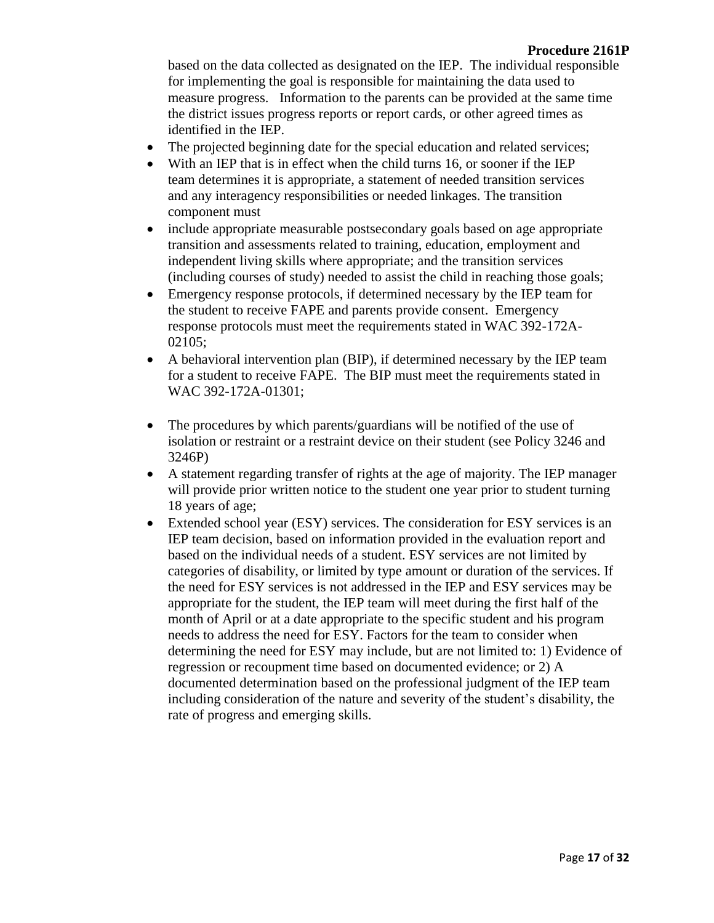based on the data collected as designated on the IEP. The individual responsible for implementing the goal is responsible for maintaining the data used to measure progress. Information to the parents can be provided at the same time the district issues progress reports or report cards, or other agreed times as identified in the IEP.

- The projected beginning date for the special education and related services;
- With an IEP that is in effect when the child turns 16, or sooner if the IEP team determines it is appropriate, a statement of needed transition services and any interagency responsibilities or needed linkages. The transition component must
- include appropriate measurable postsecondary goals based on age appropriate transition and assessments related to training, education, employment and independent living skills where appropriate; and the transition services (including courses of study) needed to assist the child in reaching those goals;
- Emergency response protocols, if determined necessary by the IEP team for the student to receive FAPE and parents provide consent. Emergency response protocols must meet the requirements stated in WAC 392-172A-02105;
- A behavioral intervention plan (BIP), if determined necessary by the IEP team for a student to receive FAPE. The BIP must meet the requirements stated in WAC 392-172A-01301;
- The procedures by which parents/guardians will be notified of the use of isolation or restraint or a restraint device on their student (see Policy 3246 and 3246P)
- A statement regarding transfer of rights at the age of majority. The IEP manager will provide prior written notice to the student one year prior to student turning 18 years of age;
- Extended school year (ESY) services. The consideration for ESY services is an IEP team decision, based on information provided in the evaluation report and based on the individual needs of a student. ESY services are not limited by categories of disability, or limited by type amount or duration of the services. If the need for ESY services is not addressed in the IEP and ESY services may be appropriate for the student, the IEP team will meet during the first half of the month of April or at a date appropriate to the specific student and his program needs to address the need for ESY. Factors for the team to consider when determining the need for ESY may include, but are not limited to: 1) Evidence of regression or recoupment time based on documented evidence; or 2) A documented determination based on the professional judgment of the IEP team including consideration of the nature and severity of the student's disability, the rate of progress and emerging skills.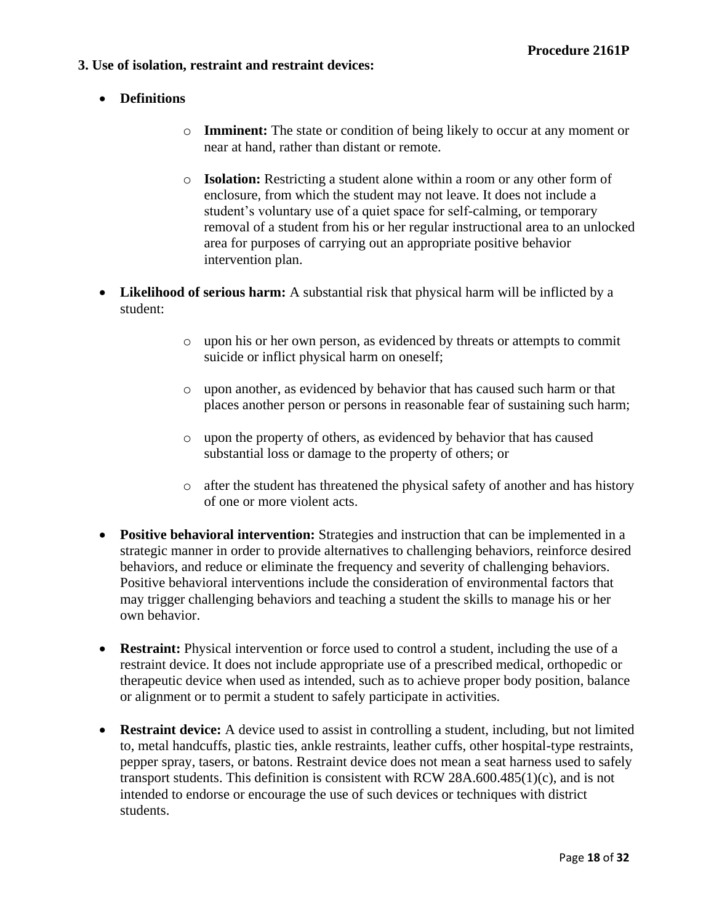### **3. Use of isolation, restraint and restraint devices:**

- **Definitions**
	- o **Imminent:** The state or condition of being likely to occur at any moment or near at hand, rather than distant or remote.
	- o **Isolation:** Restricting a student alone within a room or any other form of enclosure, from which the student may not leave. It does not include a student's voluntary use of a quiet space for self-calming, or temporary removal of a student from his or her regular instructional area to an unlocked area for purposes of carrying out an appropriate positive behavior intervention plan.
- **Likelihood of serious harm:** A substantial risk that physical harm will be inflicted by a student:
	- o upon his or her own person, as evidenced by threats or attempts to commit suicide or inflict physical harm on oneself;
	- o upon another, as evidenced by behavior that has caused such harm or that places another person or persons in reasonable fear of sustaining such harm;
	- o upon the property of others, as evidenced by behavior that has caused substantial loss or damage to the property of others; or
	- o after the student has threatened the physical safety of another and has history of one or more violent acts.
- **Positive behavioral intervention:** Strategies and instruction that can be implemented in a strategic manner in order to provide alternatives to challenging behaviors, reinforce desired behaviors, and reduce or eliminate the frequency and severity of challenging behaviors. Positive behavioral interventions include the consideration of environmental factors that may trigger challenging behaviors and teaching a student the skills to manage his or her own behavior.
- **Restraint:** Physical intervention or force used to control a student, including the use of a restraint device. It does not include appropriate use of a prescribed medical, orthopedic or therapeutic device when used as intended, such as to achieve proper body position, balance or alignment or to permit a student to safely participate in activities.
- **Restraint device:** A device used to assist in controlling a student, including, but not limited to, metal handcuffs, plastic ties, ankle restraints, leather cuffs, other hospital-type restraints, pepper spray, tasers, or batons. Restraint device does not mean a seat harness used to safely transport students. This definition is consistent with RCW 28A.600.485(1)(c), and is not intended to endorse or encourage the use of such devices or techniques with district students.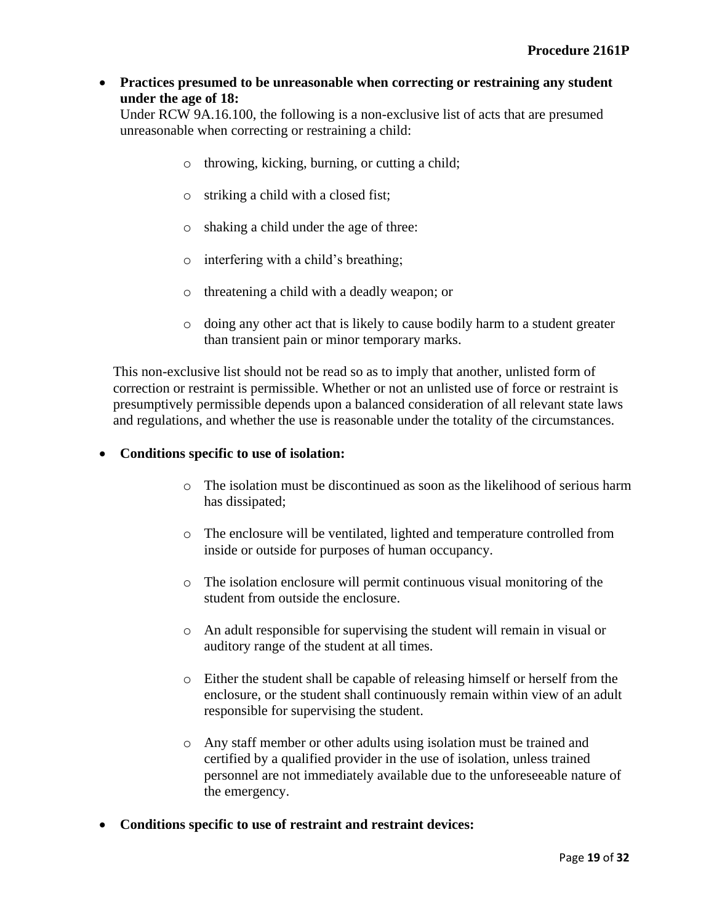### **Practices presumed to be unreasonable when correcting or restraining any student under the age of 18:**

Under RCW 9A.16.100, the following is a non-exclusive list of acts that are presumed unreasonable when correcting or restraining a child:

- o throwing, kicking, burning, or cutting a child;
- o striking a child with a closed fist;
- o shaking a child under the age of three:
- o interfering with a child's breathing;
- o threatening a child with a deadly weapon; or
- o doing any other act that is likely to cause bodily harm to a student greater than transient pain or minor temporary marks.

This non-exclusive list should not be read so as to imply that another, unlisted form of correction or restraint is permissible. Whether or not an unlisted use of force or restraint is presumptively permissible depends upon a balanced consideration of all relevant state laws and regulations, and whether the use is reasonable under the totality of the circumstances.

### **Conditions specific to use of isolation:**

- o The isolation must be discontinued as soon as the likelihood of serious harm has dissipated;
- o The enclosure will be ventilated, lighted and temperature controlled from inside or outside for purposes of human occupancy.
- o The isolation enclosure will permit continuous visual monitoring of the student from outside the enclosure.
- o An adult responsible for supervising the student will remain in visual or auditory range of the student at all times.
- o Either the student shall be capable of releasing himself or herself from the enclosure, or the student shall continuously remain within view of an adult responsible for supervising the student.
- o Any staff member or other adults using isolation must be trained and certified by a qualified provider in the use of isolation, unless trained personnel are not immediately available due to the unforeseeable nature of the emergency.
- **Conditions specific to use of restraint and restraint devices:**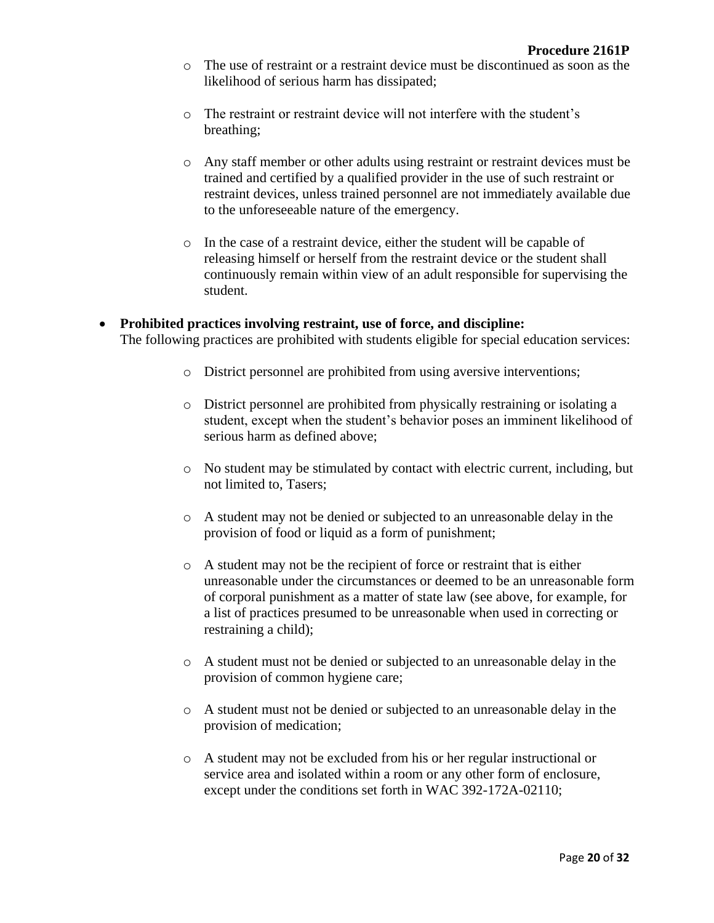- o The use of restraint or a restraint device must be discontinued as soon as the likelihood of serious harm has dissipated;
- o The restraint or restraint device will not interfere with the student's breathing;
- o Any staff member or other adults using restraint or restraint devices must be trained and certified by a qualified provider in the use of such restraint or restraint devices, unless trained personnel are not immediately available due to the unforeseeable nature of the emergency.
- o In the case of a restraint device, either the student will be capable of releasing himself or herself from the restraint device or the student shall continuously remain within view of an adult responsible for supervising the student.
- **Prohibited practices involving restraint, use of force, and discipline:** The following practices are prohibited with students eligible for special education services:
	- o District personnel are prohibited from using aversive interventions;
	- o District personnel are prohibited from physically restraining or isolating a student, except when the student's behavior poses an imminent likelihood of serious harm as defined above;
	- o No student may be stimulated by contact with electric current, including, but not limited to, Tasers;
	- o A student may not be denied or subjected to an unreasonable delay in the provision of food or liquid as a form of punishment;
	- o A student may not be the recipient of force or restraint that is either unreasonable under the circumstances or deemed to be an unreasonable form of corporal punishment as a matter of state law (see above, for example, for a list of practices presumed to be unreasonable when used in correcting or restraining a child);
	- o A student must not be denied or subjected to an unreasonable delay in the provision of common hygiene care;
	- o A student must not be denied or subjected to an unreasonable delay in the provision of medication;
	- o A student may not be excluded from his or her regular instructional or service area and isolated within a room or any other form of enclosure, except under the conditions set forth in WAC 392-172A-02110;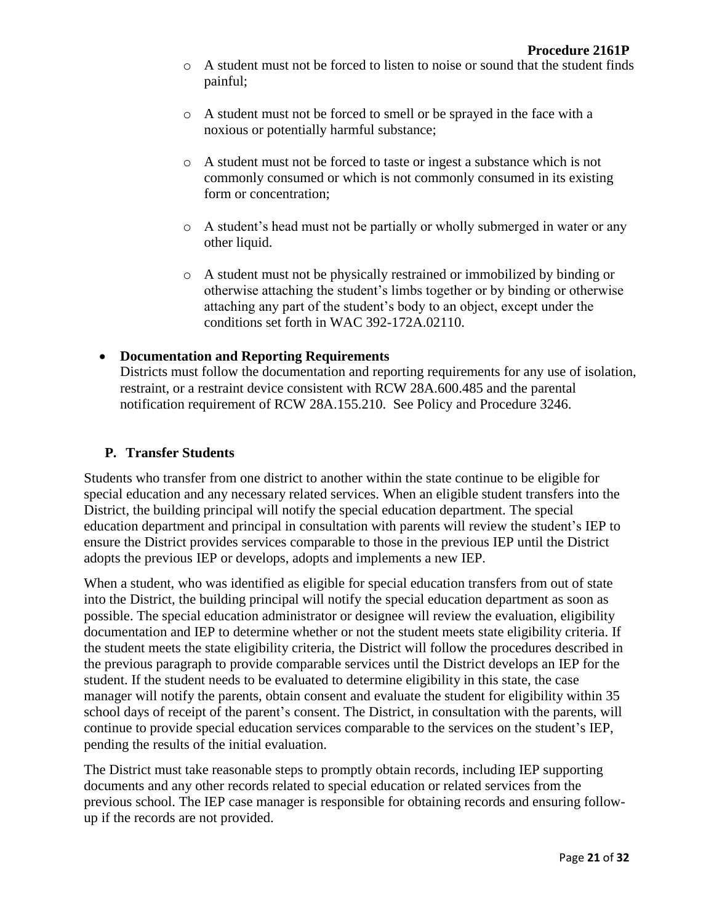- o A student must not be forced to listen to noise or sound that the student finds painful;
- o A student must not be forced to smell or be sprayed in the face with a noxious or potentially harmful substance;
- o A student must not be forced to taste or ingest a substance which is not commonly consumed or which is not commonly consumed in its existing form or concentration;
- o A student's head must not be partially or wholly submerged in water or any other liquid.
- o A student must not be physically restrained or immobilized by binding or otherwise attaching the student's limbs together or by binding or otherwise attaching any part of the student's body to an object, except under the conditions set forth in WAC 392-172A.02110.

### **Documentation and Reporting Requirements**

Districts must follow the documentation and reporting requirements for any use of isolation, restraint, or a restraint device consistent with RCW 28A.600.485 and the parental notification requirement of RCW 28A.155.210. See Policy and Procedure 3246.

#### **P. Transfer Students**

Students who transfer from one district to another within the state continue to be eligible for special education and any necessary related services. When an eligible student transfers into the District, the building principal will notify the special education department. The special education department and principal in consultation with parents will review the student's IEP to ensure the District provides services comparable to those in the previous IEP until the District adopts the previous IEP or develops, adopts and implements a new IEP.

When a student, who was identified as eligible for special education transfers from out of state into the District, the building principal will notify the special education department as soon as possible. The special education administrator or designee will review the evaluation, eligibility documentation and IEP to determine whether or not the student meets state eligibility criteria. If the student meets the state eligibility criteria, the District will follow the procedures described in the previous paragraph to provide comparable services until the District develops an IEP for the student. If the student needs to be evaluated to determine eligibility in this state, the case manager will notify the parents, obtain consent and evaluate the student for eligibility within 35 school days of receipt of the parent's consent. The District, in consultation with the parents, will continue to provide special education services comparable to the services on the student's IEP, pending the results of the initial evaluation.

The District must take reasonable steps to promptly obtain records, including IEP supporting documents and any other records related to special education or related services from the previous school. The IEP case manager is responsible for obtaining records and ensuring followup if the records are not provided.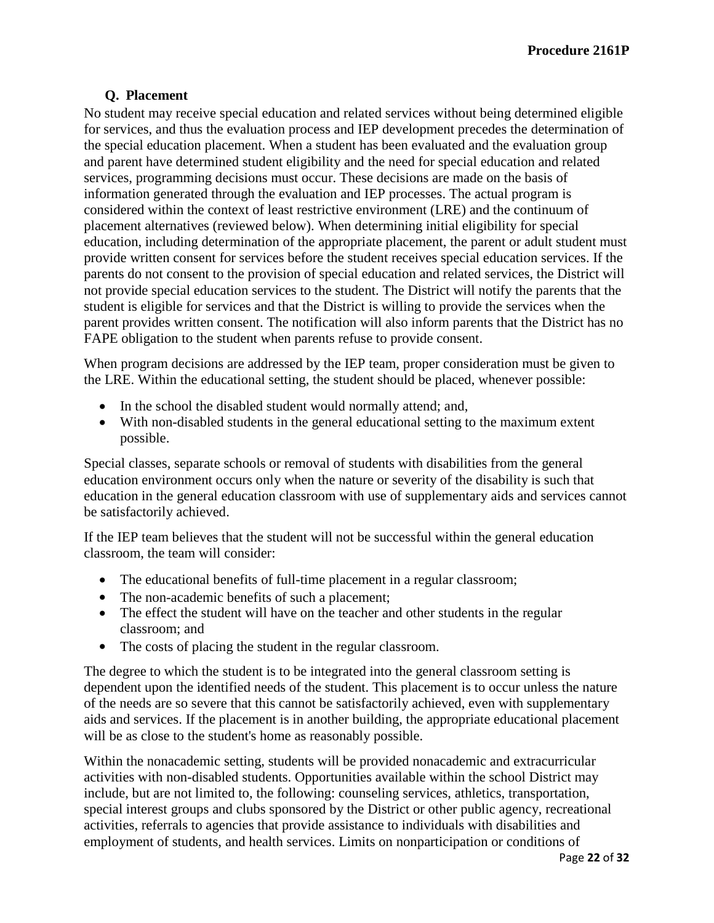### **Q. Placement**

No student may receive special education and related services without being determined eligible for services, and thus the evaluation process and IEP development precedes the determination of the special education placement. When a student has been evaluated and the evaluation group and parent have determined student eligibility and the need for special education and related services, programming decisions must occur. These decisions are made on the basis of information generated through the evaluation and IEP processes. The actual program is considered within the context of least restrictive environment (LRE) and the continuum of placement alternatives (reviewed below). When determining initial eligibility for special education, including determination of the appropriate placement, the parent or adult student must provide written consent for services before the student receives special education services. If the parents do not consent to the provision of special education and related services, the District will not provide special education services to the student. The District will notify the parents that the student is eligible for services and that the District is willing to provide the services when the parent provides written consent. The notification will also inform parents that the District has no FAPE obligation to the student when parents refuse to provide consent.

When program decisions are addressed by the IEP team, proper consideration must be given to the LRE. Within the educational setting, the student should be placed, whenever possible:

- In the school the disabled student would normally attend; and,
- With non-disabled students in the general educational setting to the maximum extent possible.

Special classes, separate schools or removal of students with disabilities from the general education environment occurs only when the nature or severity of the disability is such that education in the general education classroom with use of supplementary aids and services cannot be satisfactorily achieved.

If the IEP team believes that the student will not be successful within the general education classroom, the team will consider:

- The educational benefits of full-time placement in a regular classroom;
- The non-academic benefits of such a placement;
- The effect the student will have on the teacher and other students in the regular classroom; and
- The costs of placing the student in the regular classroom.

The degree to which the student is to be integrated into the general classroom setting is dependent upon the identified needs of the student. This placement is to occur unless the nature of the needs are so severe that this cannot be satisfactorily achieved, even with supplementary aids and services. If the placement is in another building, the appropriate educational placement will be as close to the student's home as reasonably possible.

Within the nonacademic setting, students will be provided nonacademic and extracurricular activities with non-disabled students. Opportunities available within the school District may include, but are not limited to, the following: counseling services, athletics, transportation, special interest groups and clubs sponsored by the District or other public agency, recreational activities, referrals to agencies that provide assistance to individuals with disabilities and employment of students, and health services. Limits on nonparticipation or conditions of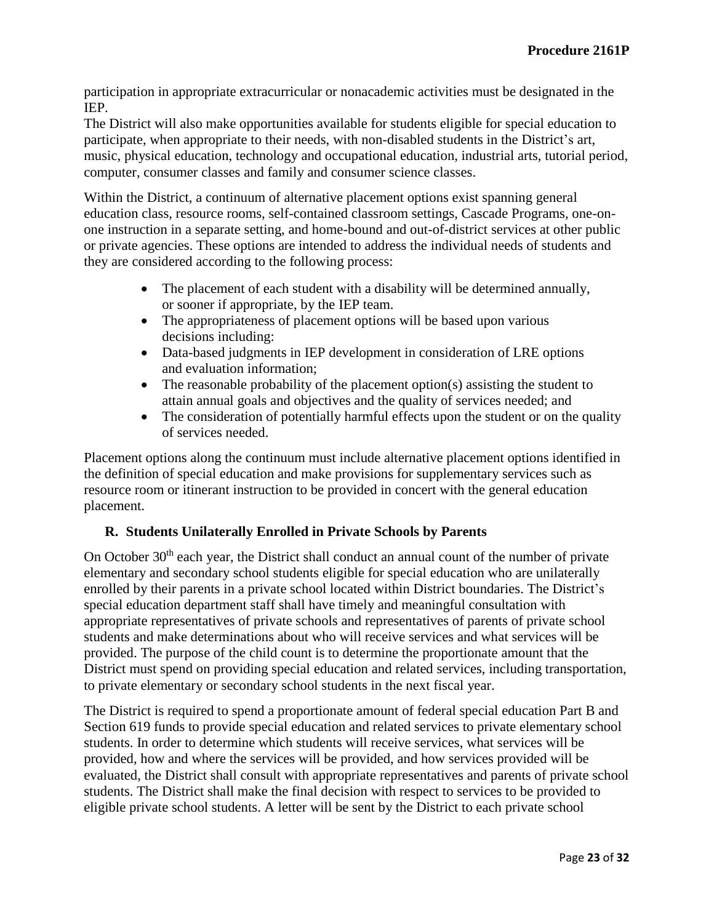participation in appropriate extracurricular or nonacademic activities must be designated in the IEP.

The District will also make opportunities available for students eligible for special education to participate, when appropriate to their needs, with non-disabled students in the District's art, music, physical education, technology and occupational education, industrial arts, tutorial period, computer, consumer classes and family and consumer science classes.

Within the District, a continuum of alternative placement options exist spanning general education class, resource rooms, self-contained classroom settings, Cascade Programs, one-onone instruction in a separate setting, and home-bound and out-of-district services at other public or private agencies. These options are intended to address the individual needs of students and they are considered according to the following process:

- The placement of each student with a disability will be determined annually, or sooner if appropriate, by the IEP team.
- The appropriateness of placement options will be based upon various decisions including:
- Data-based judgments in IEP development in consideration of LRE options and evaluation information;
- The reasonable probability of the placement option(s) assisting the student to attain annual goals and objectives and the quality of services needed; and
- The consideration of potentially harmful effects upon the student or on the quality of services needed.

Placement options along the continuum must include alternative placement options identified in the definition of special education and make provisions for supplementary services such as resource room or itinerant instruction to be provided in concert with the general education placement.

# **R. Students Unilaterally Enrolled in Private Schools by Parents**

On October 30<sup>th</sup> each year, the District shall conduct an annual count of the number of private elementary and secondary school students eligible for special education who are unilaterally enrolled by their parents in a private school located within District boundaries. The District's special education department staff shall have timely and meaningful consultation with appropriate representatives of private schools and representatives of parents of private school students and make determinations about who will receive services and what services will be provided. The purpose of the child count is to determine the proportionate amount that the District must spend on providing special education and related services, including transportation, to private elementary or secondary school students in the next fiscal year.

The District is required to spend a proportionate amount of federal special education Part B and Section 619 funds to provide special education and related services to private elementary school students. In order to determine which students will receive services, what services will be provided, how and where the services will be provided, and how services provided will be evaluated, the District shall consult with appropriate representatives and parents of private school students. The District shall make the final decision with respect to services to be provided to eligible private school students. A letter will be sent by the District to each private school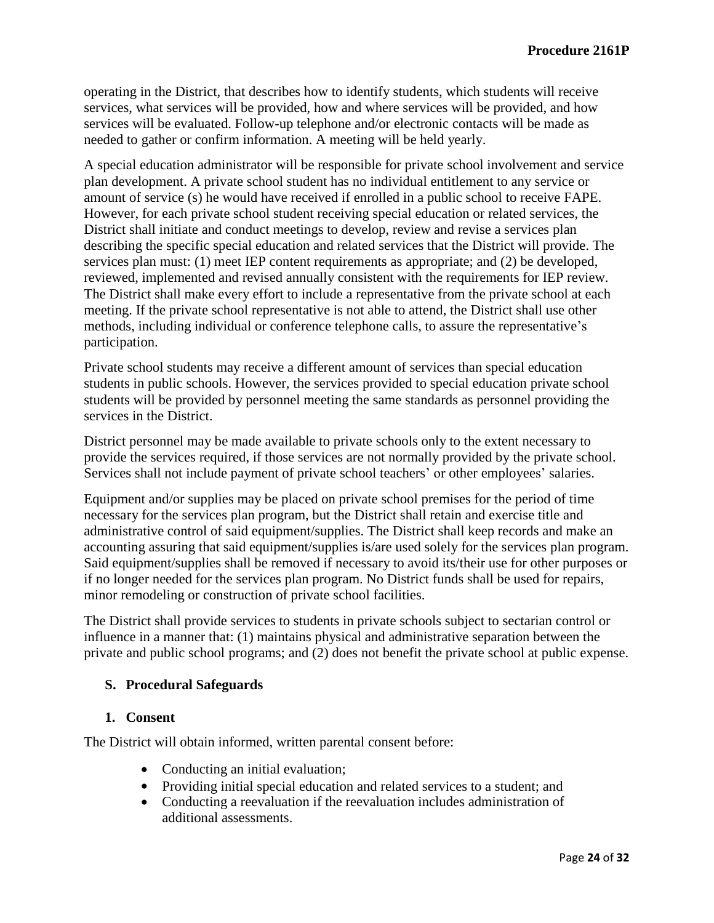operating in the District, that describes how to identify students, which students will receive services, what services will be provided, how and where services will be provided, and how services will be evaluated. Follow-up telephone and/or electronic contacts will be made as needed to gather or confirm information. A meeting will be held yearly.

A special education administrator will be responsible for private school involvement and service plan development. A private school student has no individual entitlement to any service or amount of service (s) he would have received if enrolled in a public school to receive FAPE. However, for each private school student receiving special education or related services, the District shall initiate and conduct meetings to develop, review and revise a services plan describing the specific special education and related services that the District will provide. The services plan must: (1) meet IEP content requirements as appropriate; and (2) be developed, reviewed, implemented and revised annually consistent with the requirements for IEP review. The District shall make every effort to include a representative from the private school at each meeting. If the private school representative is not able to attend, the District shall use other methods, including individual or conference telephone calls, to assure the representative's participation.

Private school students may receive a different amount of services than special education students in public schools. However, the services provided to special education private school students will be provided by personnel meeting the same standards as personnel providing the services in the District.

District personnel may be made available to private schools only to the extent necessary to provide the services required, if those services are not normally provided by the private school. Services shall not include payment of private school teachers' or other employees' salaries.

Equipment and/or supplies may be placed on private school premises for the period of time necessary for the services plan program, but the District shall retain and exercise title and administrative control of said equipment/supplies. The District shall keep records and make an accounting assuring that said equipment/supplies is/are used solely for the services plan program. Said equipment/supplies shall be removed if necessary to avoid its/their use for other purposes or if no longer needed for the services plan program. No District funds shall be used for repairs, minor remodeling or construction of private school facilities.

The District shall provide services to students in private schools subject to sectarian control or influence in a manner that: (1) maintains physical and administrative separation between the private and public school programs; and (2) does not benefit the private school at public expense.

### **S. Procedural Safeguards**

### **1. Consent**

The District will obtain informed, written parental consent before:

- Conducting an initial evaluation;
- Providing initial special education and related services to a student; and
- Conducting a reevaluation if the reevaluation includes administration of additional assessments.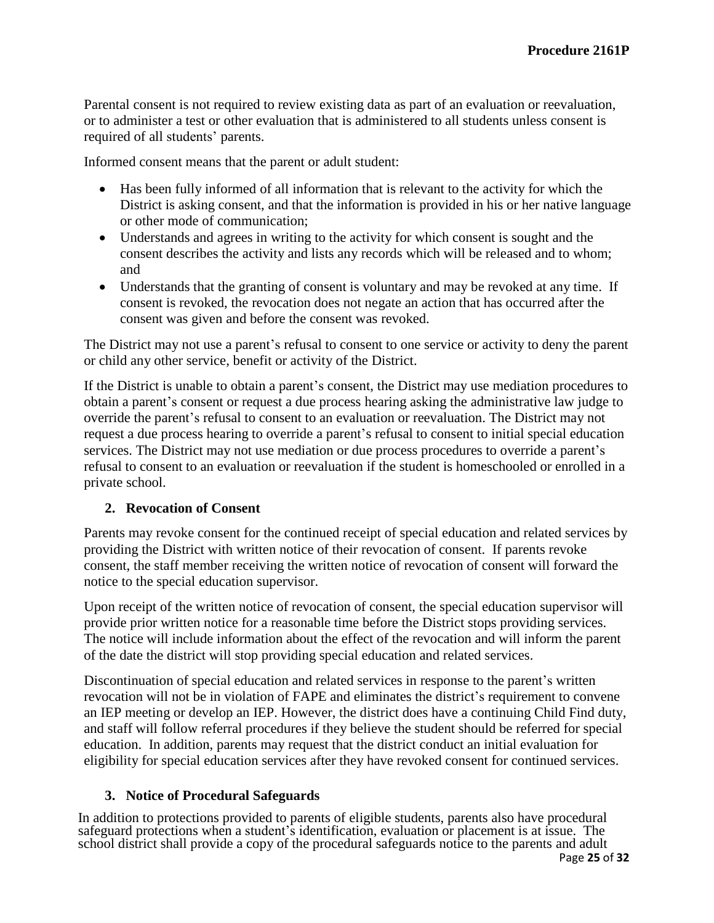Parental consent is not required to review existing data as part of an evaluation or reevaluation, or to administer a test or other evaluation that is administered to all students unless consent is required of all students' parents.

Informed consent means that the parent or adult student:

- Has been fully informed of all information that is relevant to the activity for which the District is asking consent, and that the information is provided in his or her native language or other mode of communication;
- Understands and agrees in writing to the activity for which consent is sought and the consent describes the activity and lists any records which will be released and to whom; and
- Understands that the granting of consent is voluntary and may be revoked at any time. If consent is revoked, the revocation does not negate an action that has occurred after the consent was given and before the consent was revoked.

The District may not use a parent's refusal to consent to one service or activity to deny the parent or child any other service, benefit or activity of the District.

If the District is unable to obtain a parent's consent, the District may use mediation procedures to obtain a parent's consent or request a due process hearing asking the administrative law judge to override the parent's refusal to consent to an evaluation or reevaluation. The District may not request a due process hearing to override a parent's refusal to consent to initial special education services. The District may not use mediation or due process procedures to override a parent's refusal to consent to an evaluation or reevaluation if the student is homeschooled or enrolled in a private school.

# **2. Revocation of Consent**

Parents may revoke consent for the continued receipt of special education and related services by providing the District with written notice of their revocation of consent. If parents revoke consent, the staff member receiving the written notice of revocation of consent will forward the notice to the special education supervisor.

Upon receipt of the written notice of revocation of consent, the special education supervisor will provide prior written notice for a reasonable time before the District stops providing services. The notice will include information about the effect of the revocation and will inform the parent of the date the district will stop providing special education and related services.

Discontinuation of special education and related services in response to the parent's written revocation will not be in violation of FAPE and eliminates the district's requirement to convene an IEP meeting or develop an IEP. However, the district does have a continuing Child Find duty, and staff will follow referral procedures if they believe the student should be referred for special education. In addition, parents may request that the district conduct an initial evaluation for eligibility for special education services after they have revoked consent for continued services.

# **3. Notice of Procedural Safeguards**

In addition to protections provided to parents of eligible students, parents also have procedural safeguard protections when a student's identification, evaluation or placement is at issue. The school district shall provide a copy of the procedural safeguards notice to the parents and adult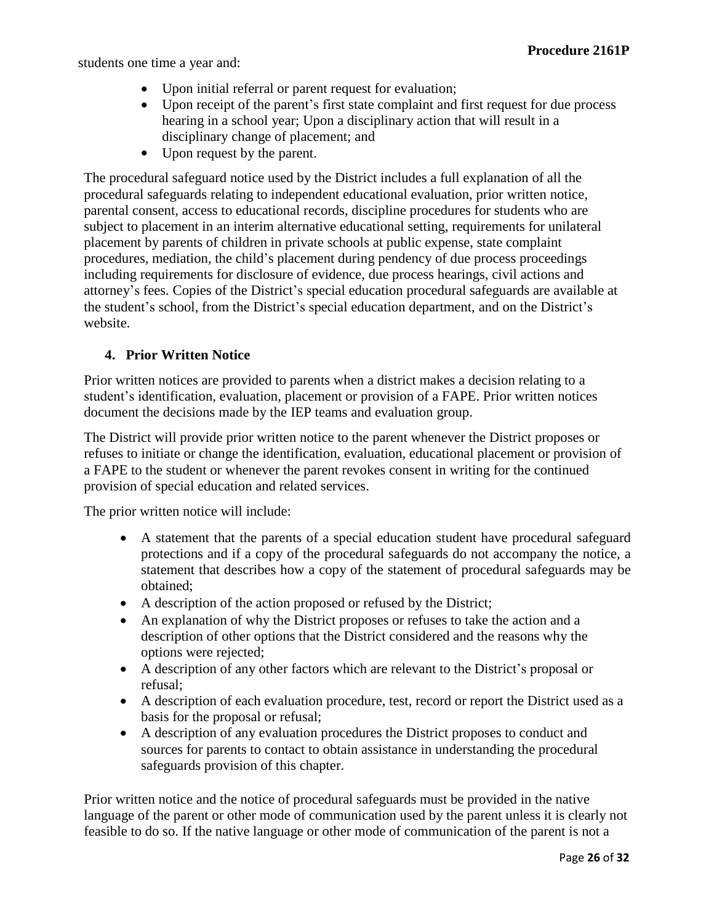students one time a year and:

- Upon initial referral or parent request for evaluation;
- Upon receipt of the parent's first state complaint and first request for due process hearing in a school year; Upon a disciplinary action that will result in a disciplinary change of placement; and
- Upon request by the parent.

The procedural safeguard notice used by the District includes a full explanation of all the procedural safeguards relating to independent educational evaluation, prior written notice, parental consent, access to educational records, discipline procedures for students who are subject to placement in an interim alternative educational setting, requirements for unilateral placement by parents of children in private schools at public expense, state complaint procedures, mediation, the child's placement during pendency of due process proceedings including requirements for disclosure of evidence, due process hearings, civil actions and attorney's fees. Copies of the District's special education procedural safeguards are available at the student's school, from the District's special education department, and on the District's website.

### **4. Prior Written Notice**

Prior written notices are provided to parents when a district makes a decision relating to a student's identification, evaluation, placement or provision of a FAPE. Prior written notices document the decisions made by the IEP teams and evaluation group.

The District will provide prior written notice to the parent whenever the District proposes or refuses to initiate or change the identification, evaluation, educational placement or provision of a FAPE to the student or whenever the parent revokes consent in writing for the continued provision of special education and related services.

The prior written notice will include:

- A statement that the parents of a special education student have procedural safeguard protections and if a copy of the procedural safeguards do not accompany the notice, a statement that describes how a copy of the statement of procedural safeguards may be obtained;
- A description of the action proposed or refused by the District;
- An explanation of why the District proposes or refuses to take the action and a description of other options that the District considered and the reasons why the options were rejected;
- A description of any other factors which are relevant to the District's proposal or refusal;
- A description of each evaluation procedure, test, record or report the District used as a basis for the proposal or refusal;
- A description of any evaluation procedures the District proposes to conduct and sources for parents to contact to obtain assistance in understanding the procedural safeguards provision of this chapter.

Prior written notice and the notice of procedural safeguards must be provided in the native language of the parent or other mode of communication used by the parent unless it is clearly not feasible to do so. If the native language or other mode of communication of the parent is not a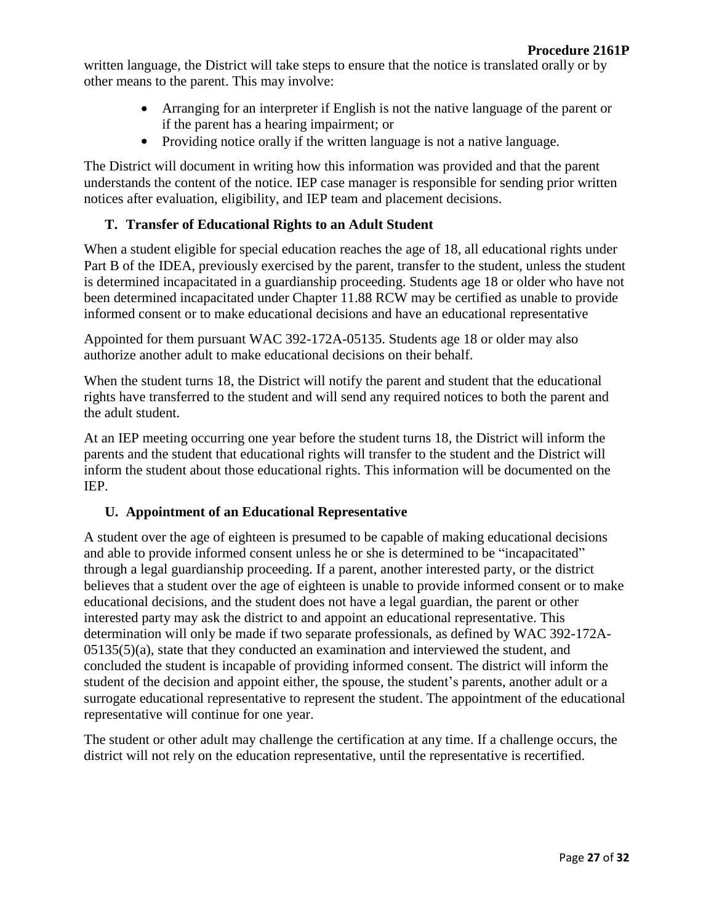written language, the District will take steps to ensure that the notice is translated orally or by other means to the parent. This may involve:

- Arranging for an interpreter if English is not the native language of the parent or if the parent has a hearing impairment; or
- Providing notice orally if the written language is not a native language.

The District will document in writing how this information was provided and that the parent understands the content of the notice. IEP case manager is responsible for sending prior written notices after evaluation, eligibility, and IEP team and placement decisions.

# **T. Transfer of Educational Rights to an Adult Student**

When a student eligible for special education reaches the age of 18, all educational rights under Part B of the IDEA, previously exercised by the parent, transfer to the student, unless the student is determined incapacitated in a guardianship proceeding. Students age 18 or older who have not been determined incapacitated under Chapter 11.88 RCW may be certified as unable to provide informed consent or to make educational decisions and have an educational representative

Appointed for them pursuant WAC 392-172A-05135. Students age 18 or older may also authorize another adult to make educational decisions on their behalf.

When the student turns 18, the District will notify the parent and student that the educational rights have transferred to the student and will send any required notices to both the parent and the adult student.

At an IEP meeting occurring one year before the student turns 18, the District will inform the parents and the student that educational rights will transfer to the student and the District will inform the student about those educational rights. This information will be documented on the IEP.

# **U. Appointment of an Educational Representative**

A student over the age of eighteen is presumed to be capable of making educational decisions and able to provide informed consent unless he or she is determined to be "incapacitated" through a legal guardianship proceeding. If a parent, another interested party, or the district believes that a student over the age of eighteen is unable to provide informed consent or to make educational decisions, and the student does not have a legal guardian, the parent or other interested party may ask the district to and appoint an educational representative. This determination will only be made if two separate professionals, as defined by WAC 392-172A- $0.05135(5)(a)$ , state that they conducted an examination and interviewed the student, and concluded the student is incapable of providing informed consent. The district will inform the student of the decision and appoint either, the spouse, the student's parents, another adult or a surrogate educational representative to represent the student. The appointment of the educational representative will continue for one year.

The student or other adult may challenge the certification at any time. If a challenge occurs, the district will not rely on the education representative, until the representative is recertified.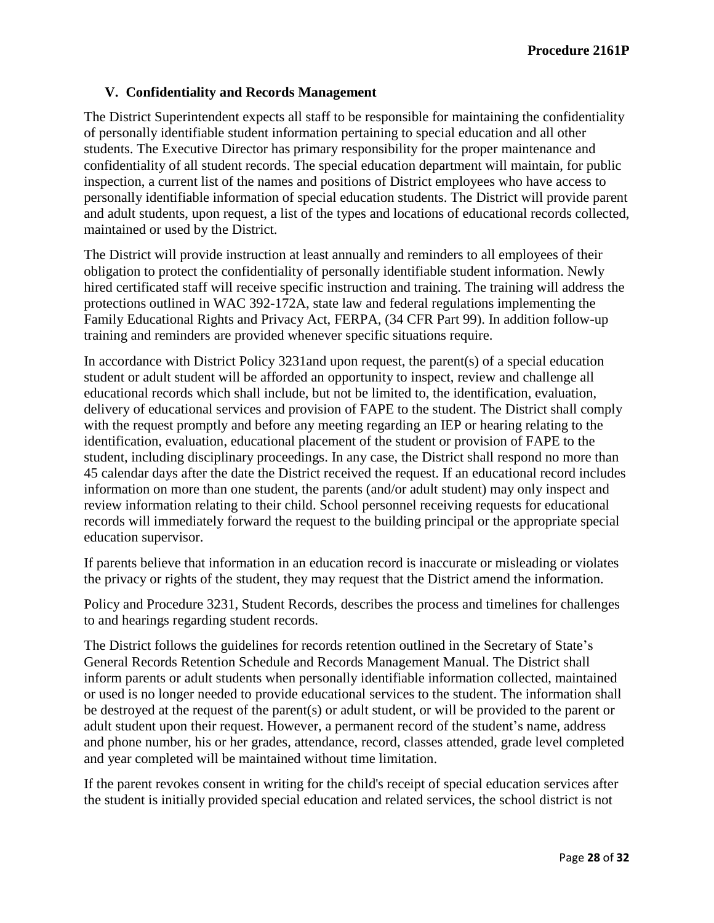## **V. Confidentiality and Records Management**

The District Superintendent expects all staff to be responsible for maintaining the confidentiality of personally identifiable student information pertaining to special education and all other students. The Executive Director has primary responsibility for the proper maintenance and confidentiality of all student records. The special education department will maintain, for public inspection, a current list of the names and positions of District employees who have access to personally identifiable information of special education students. The District will provide parent and adult students, upon request, a list of the types and locations of educational records collected, maintained or used by the District.

The District will provide instruction at least annually and reminders to all employees of their obligation to protect the confidentiality of personally identifiable student information. Newly hired certificated staff will receive specific instruction and training. The training will address the protections outlined in WAC 392-172A, state law and federal regulations implementing the Family Educational Rights and Privacy Act, FERPA, (34 CFR Part 99). In addition follow-up training and reminders are provided whenever specific situations require.

In accordance with District Policy 3231and upon request, the parent(s) of a special education student or adult student will be afforded an opportunity to inspect, review and challenge all educational records which shall include, but not be limited to, the identification, evaluation, delivery of educational services and provision of FAPE to the student. The District shall comply with the request promptly and before any meeting regarding an IEP or hearing relating to the identification, evaluation, educational placement of the student or provision of FAPE to the student, including disciplinary proceedings. In any case, the District shall respond no more than 45 calendar days after the date the District received the request. If an educational record includes information on more than one student, the parents (and/or adult student) may only inspect and review information relating to their child. School personnel receiving requests for educational records will immediately forward the request to the building principal or the appropriate special education supervisor.

If parents believe that information in an education record is inaccurate or misleading or violates the privacy or rights of the student, they may request that the District amend the information.

Policy and Procedure 3231, Student Records, describes the process and timelines for challenges to and hearings regarding student records.

The District follows the guidelines for records retention outlined in the Secretary of State's General Records Retention Schedule and Records Management Manual. The District shall inform parents or adult students when personally identifiable information collected, maintained or used is no longer needed to provide educational services to the student. The information shall be destroyed at the request of the parent(s) or adult student, or will be provided to the parent or adult student upon their request. However, a permanent record of the student's name, address and phone number, his or her grades, attendance, record, classes attended, grade level completed and year completed will be maintained without time limitation.

If the parent revokes consent in writing for the child's receipt of special education services after the student is initially provided special education and related services, the school district is not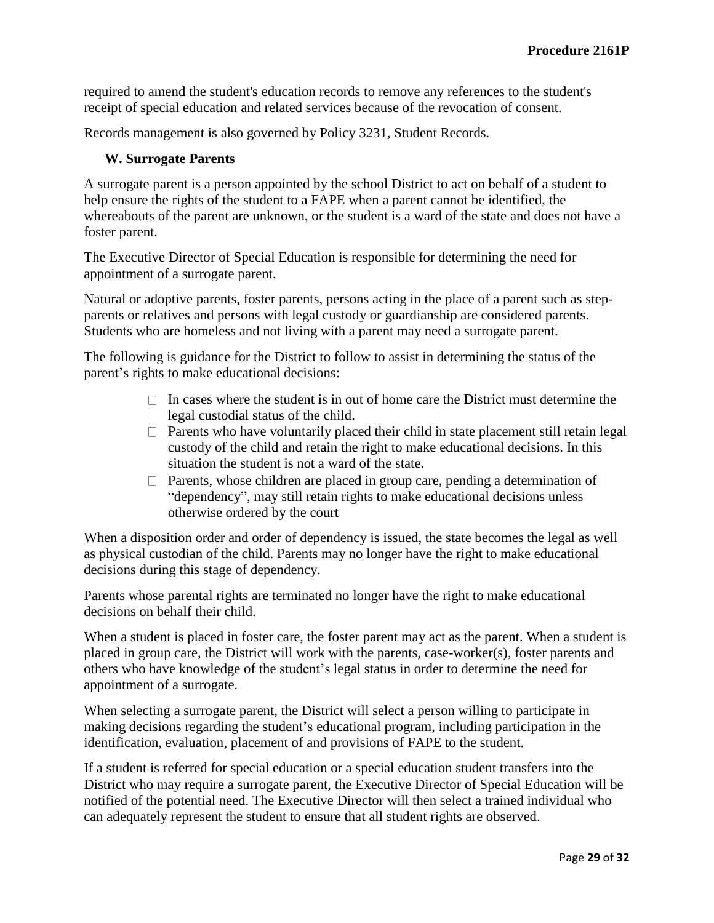required to amend the student's education records to remove any references to the student's receipt of special education and related services because of the revocation of consent.

Records management is also governed by Policy 3231, Student Records.

#### **W. Surrogate Parents**

A surrogate parent is a person appointed by the school District to act on behalf of a student to help ensure the rights of the student to a FAPE when a parent cannot be identified, the whereabouts of the parent are unknown, or the student is a ward of the state and does not have a foster parent.

The Executive Director of Special Education is responsible for determining the need for appointment of a surrogate parent.

Natural or adoptive parents, foster parents, persons acting in the place of a parent such as stepparents or relatives and persons with legal custody or guardianship are considered parents. Students who are homeless and not living with a parent may need a surrogate parent.

The following is guidance for the District to follow to assist in determining the status of the parent's rights to make educational decisions:

- $\Box$  In cases where the student is in out of home care the District must determine the legal custodial status of the child.
- $\Box$  Parents who have voluntarily placed their child in state placement still retain legal custody of the child and retain the right to make educational decisions. In this situation the student is not a ward of the state.
- $\Box$  Parents, whose children are placed in group care, pending a determination of "dependency", may still retain rights to make educational decisions unless otherwise ordered by the court

When a disposition order and order of dependency is issued, the state becomes the legal as well as physical custodian of the child. Parents may no longer have the right to make educational decisions during this stage of dependency.

Parents whose parental rights are terminated no longer have the right to make educational decisions on behalf their child.

When a student is placed in foster care, the foster parent may act as the parent. When a student is placed in group care, the District will work with the parents, case-worker(s), foster parents and others who have knowledge of the student's legal status in order to determine the need for appointment of a surrogate.

When selecting a surrogate parent, the District will select a person willing to participate in making decisions regarding the student's educational program, including participation in the identification, evaluation, placement of and provisions of FAPE to the student.

If a student is referred for special education or a special education student transfers into the District who may require a surrogate parent, the Executive Director of Special Education will be notified of the potential need. The Executive Director will then select a trained individual who can adequately represent the student to ensure that all student rights are observed.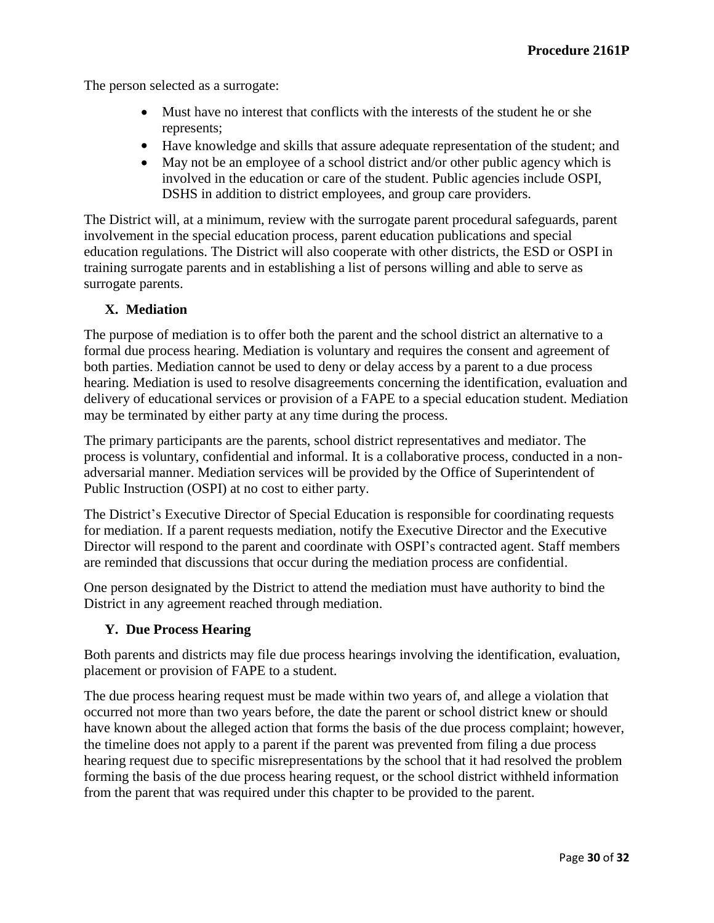The person selected as a surrogate:

- Must have no interest that conflicts with the interests of the student he or she represents;
- Have knowledge and skills that assure adequate representation of the student; and
- May not be an employee of a school district and/or other public agency which is involved in the education or care of the student. Public agencies include OSPI, DSHS in addition to district employees, and group care providers.

The District will, at a minimum, review with the surrogate parent procedural safeguards, parent involvement in the special education process, parent education publications and special education regulations. The District will also cooperate with other districts, the ESD or OSPI in training surrogate parents and in establishing a list of persons willing and able to serve as surrogate parents.

### **X. Mediation**

The purpose of mediation is to offer both the parent and the school district an alternative to a formal due process hearing. Mediation is voluntary and requires the consent and agreement of both parties. Mediation cannot be used to deny or delay access by a parent to a due process hearing. Mediation is used to resolve disagreements concerning the identification, evaluation and delivery of educational services or provision of a FAPE to a special education student. Mediation may be terminated by either party at any time during the process.

The primary participants are the parents, school district representatives and mediator. The process is voluntary, confidential and informal. It is a collaborative process, conducted in a nonadversarial manner. Mediation services will be provided by the Office of Superintendent of Public Instruction (OSPI) at no cost to either party.

The District's Executive Director of Special Education is responsible for coordinating requests for mediation. If a parent requests mediation, notify the Executive Director and the Executive Director will respond to the parent and coordinate with OSPI's contracted agent. Staff members are reminded that discussions that occur during the mediation process are confidential.

One person designated by the District to attend the mediation must have authority to bind the District in any agreement reached through mediation.

### **Y. Due Process Hearing**

Both parents and districts may file due process hearings involving the identification, evaluation, placement or provision of FAPE to a student.

The due process hearing request must be made within two years of, and allege a violation that occurred not more than two years before, the date the parent or school district knew or should have known about the alleged action that forms the basis of the due process complaint; however, the timeline does not apply to a parent if the parent was prevented from filing a due process hearing request due to specific misrepresentations by the school that it had resolved the problem forming the basis of the due process hearing request, or the school district withheld information from the parent that was required under this chapter to be provided to the parent.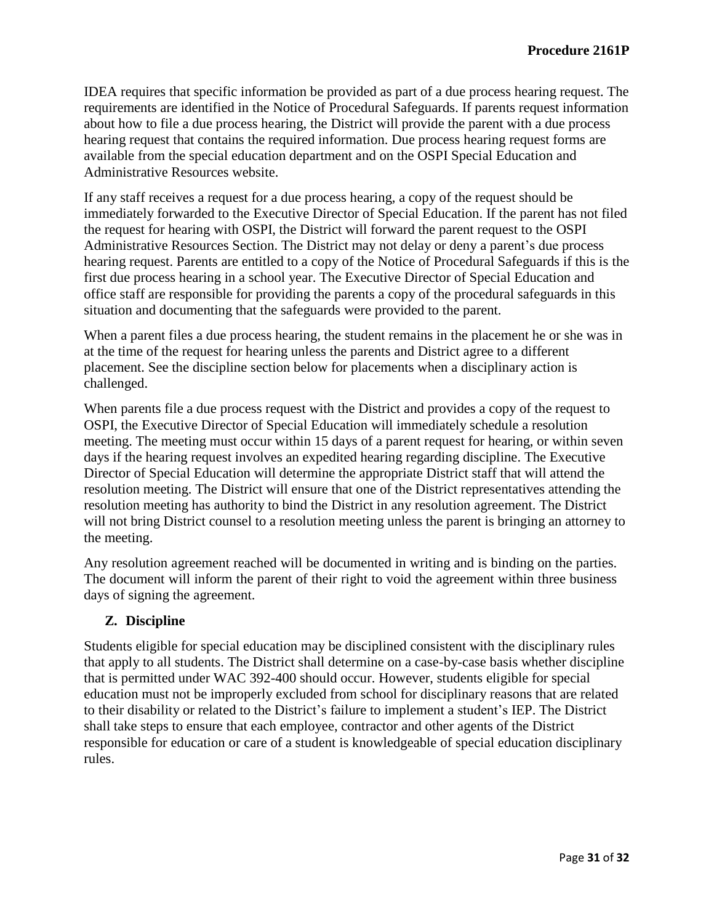IDEA requires that specific information be provided as part of a due process hearing request. The requirements are identified in the Notice of Procedural Safeguards. If parents request information about how to file a due process hearing, the District will provide the parent with a due process hearing request that contains the required information. Due process hearing request forms are available from the special education department and on the OSPI Special Education and Administrative Resources website.

If any staff receives a request for a due process hearing, a copy of the request should be immediately forwarded to the Executive Director of Special Education. If the parent has not filed the request for hearing with OSPI, the District will forward the parent request to the OSPI Administrative Resources Section. The District may not delay or deny a parent's due process hearing request. Parents are entitled to a copy of the Notice of Procedural Safeguards if this is the first due process hearing in a school year. The Executive Director of Special Education and office staff are responsible for providing the parents a copy of the procedural safeguards in this situation and documenting that the safeguards were provided to the parent.

When a parent files a due process hearing, the student remains in the placement he or she was in at the time of the request for hearing unless the parents and District agree to a different placement. See the discipline section below for placements when a disciplinary action is challenged.

When parents file a due process request with the District and provides a copy of the request to OSPI, the Executive Director of Special Education will immediately schedule a resolution meeting. The meeting must occur within 15 days of a parent request for hearing, or within seven days if the hearing request involves an expedited hearing regarding discipline. The Executive Director of Special Education will determine the appropriate District staff that will attend the resolution meeting. The District will ensure that one of the District representatives attending the resolution meeting has authority to bind the District in any resolution agreement. The District will not bring District counsel to a resolution meeting unless the parent is bringing an attorney to the meeting.

Any resolution agreement reached will be documented in writing and is binding on the parties. The document will inform the parent of their right to void the agreement within three business days of signing the agreement.

# **Z. Discipline**

Students eligible for special education may be disciplined consistent with the disciplinary rules that apply to all students. The District shall determine on a case-by-case basis whether discipline that is permitted under WAC 392-400 should occur. However, students eligible for special education must not be improperly excluded from school for disciplinary reasons that are related to their disability or related to the District's failure to implement a student's IEP. The District shall take steps to ensure that each employee, contractor and other agents of the District responsible for education or care of a student is knowledgeable of special education disciplinary rules.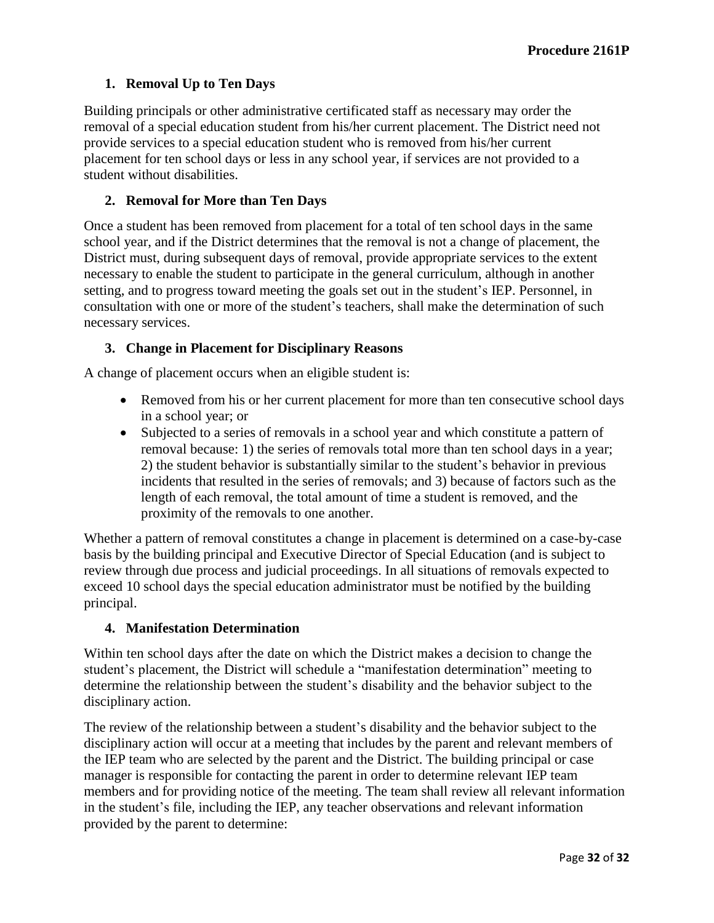# **1. Removal Up to Ten Days**

Building principals or other administrative certificated staff as necessary may order the removal of a special education student from his/her current placement. The District need not provide services to a special education student who is removed from his/her current placement for ten school days or less in any school year, if services are not provided to a student without disabilities.

### **2. Removal for More than Ten Days**

Once a student has been removed from placement for a total of ten school days in the same school year, and if the District determines that the removal is not a change of placement, the District must, during subsequent days of removal, provide appropriate services to the extent necessary to enable the student to participate in the general curriculum, although in another setting, and to progress toward meeting the goals set out in the student's IEP. Personnel, in consultation with one or more of the student's teachers, shall make the determination of such necessary services.

### **3. Change in Placement for Disciplinary Reasons**

A change of placement occurs when an eligible student is:

- Removed from his or her current placement for more than ten consecutive school days in a school year; or
- Subjected to a series of removals in a school year and which constitute a pattern of removal because: 1) the series of removals total more than ten school days in a year; 2) the student behavior is substantially similar to the student's behavior in previous incidents that resulted in the series of removals; and 3) because of factors such as the length of each removal, the total amount of time a student is removed, and the proximity of the removals to one another.

Whether a pattern of removal constitutes a change in placement is determined on a case-by-case basis by the building principal and Executive Director of Special Education (and is subject to review through due process and judicial proceedings. In all situations of removals expected to exceed 10 school days the special education administrator must be notified by the building principal.

### **4. Manifestation Determination**

Within ten school days after the date on which the District makes a decision to change the student's placement, the District will schedule a "manifestation determination" meeting to determine the relationship between the student's disability and the behavior subject to the disciplinary action.

The review of the relationship between a student's disability and the behavior subject to the disciplinary action will occur at a meeting that includes by the parent and relevant members of the IEP team who are selected by the parent and the District. The building principal or case manager is responsible for contacting the parent in order to determine relevant IEP team members and for providing notice of the meeting. The team shall review all relevant information in the student's file, including the IEP, any teacher observations and relevant information provided by the parent to determine: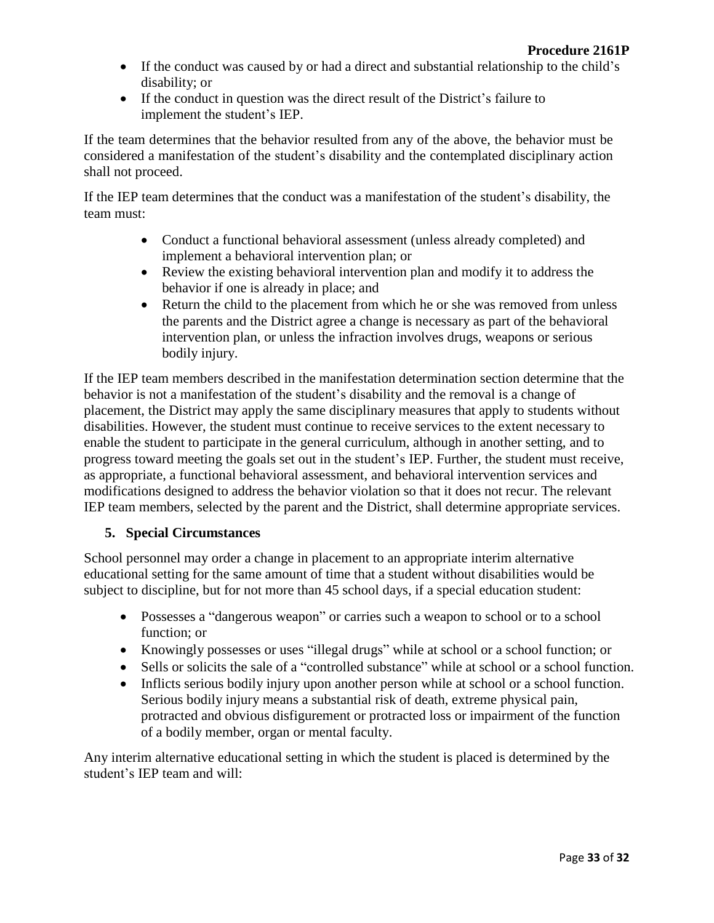- If the conduct was caused by or had a direct and substantial relationship to the child's disability; or
- If the conduct in question was the direct result of the District's failure to implement the student's IEP.

If the team determines that the behavior resulted from any of the above, the behavior must be considered a manifestation of the student's disability and the contemplated disciplinary action shall not proceed.

If the IEP team determines that the conduct was a manifestation of the student's disability, the team must:

- Conduct a functional behavioral assessment (unless already completed) and implement a behavioral intervention plan; or
- Review the existing behavioral intervention plan and modify it to address the behavior if one is already in place; and
- Return the child to the placement from which he or she was removed from unless the parents and the District agree a change is necessary as part of the behavioral intervention plan, or unless the infraction involves drugs, weapons or serious bodily injury.

If the IEP team members described in the manifestation determination section determine that the behavior is not a manifestation of the student's disability and the removal is a change of placement, the District may apply the same disciplinary measures that apply to students without disabilities. However, the student must continue to receive services to the extent necessary to enable the student to participate in the general curriculum, although in another setting, and to progress toward meeting the goals set out in the student's IEP. Further, the student must receive, as appropriate, a functional behavioral assessment, and behavioral intervention services and modifications designed to address the behavior violation so that it does not recur. The relevant IEP team members, selected by the parent and the District, shall determine appropriate services.

### **5. Special Circumstances**

School personnel may order a change in placement to an appropriate interim alternative educational setting for the same amount of time that a student without disabilities would be subject to discipline, but for not more than 45 school days, if a special education student:

- Possesses a "dangerous weapon" or carries such a weapon to school or to a school function; or
- Knowingly possesses or uses "illegal drugs" while at school or a school function; or
- Sells or solicits the sale of a "controlled substance" while at school or a school function.
- Inflicts serious bodily injury upon another person while at school or a school function. Serious bodily injury means a substantial risk of death, extreme physical pain, protracted and obvious disfigurement or protracted loss or impairment of the function of a bodily member, organ or mental faculty.

Any interim alternative educational setting in which the student is placed is determined by the student's IEP team and will: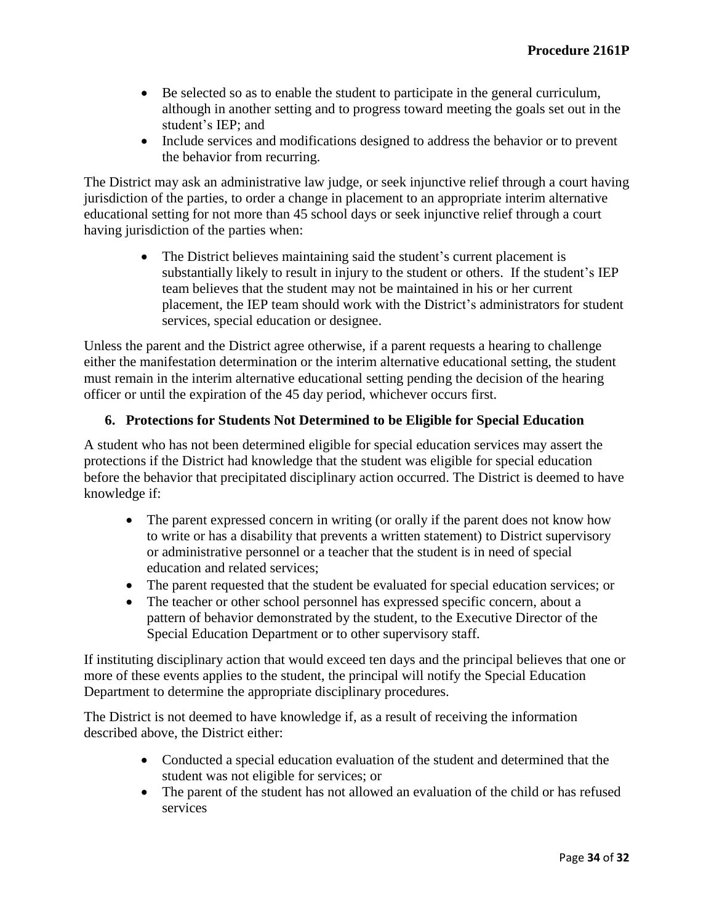- Be selected so as to enable the student to participate in the general curriculum, although in another setting and to progress toward meeting the goals set out in the student's IEP; and
- Include services and modifications designed to address the behavior or to prevent the behavior from recurring.

The District may ask an administrative law judge, or seek injunctive relief through a court having jurisdiction of the parties, to order a change in placement to an appropriate interim alternative educational setting for not more than 45 school days or seek injunctive relief through a court having jurisdiction of the parties when:

> The District believes maintaining said the student's current placement is substantially likely to result in injury to the student or others. If the student's IEP team believes that the student may not be maintained in his or her current placement, the IEP team should work with the District's administrators for student services, special education or designee.

Unless the parent and the District agree otherwise, if a parent requests a hearing to challenge either the manifestation determination or the interim alternative educational setting, the student must remain in the interim alternative educational setting pending the decision of the hearing officer or until the expiration of the 45 day period, whichever occurs first.

# **6. Protections for Students Not Determined to be Eligible for Special Education**

A student who has not been determined eligible for special education services may assert the protections if the District had knowledge that the student was eligible for special education before the behavior that precipitated disciplinary action occurred. The District is deemed to have knowledge if:

- The parent expressed concern in writing (or orally if the parent does not know how to write or has a disability that prevents a written statement) to District supervisory or administrative personnel or a teacher that the student is in need of special education and related services;
- The parent requested that the student be evaluated for special education services; or
- The teacher or other school personnel has expressed specific concern, about a pattern of behavior demonstrated by the student, to the Executive Director of the Special Education Department or to other supervisory staff.

If instituting disciplinary action that would exceed ten days and the principal believes that one or more of these events applies to the student, the principal will notify the Special Education Department to determine the appropriate disciplinary procedures.

The District is not deemed to have knowledge if, as a result of receiving the information described above, the District either:

- Conducted a special education evaluation of the student and determined that the student was not eligible for services; or
- The parent of the student has not allowed an evaluation of the child or has refused services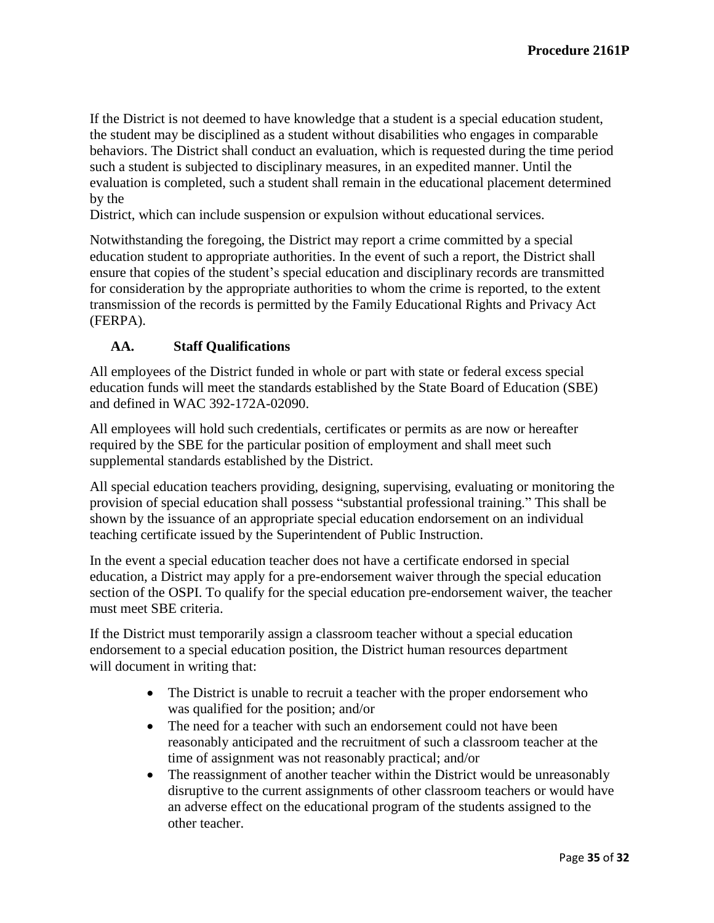If the District is not deemed to have knowledge that a student is a special education student, the student may be disciplined as a student without disabilities who engages in comparable behaviors. The District shall conduct an evaluation, which is requested during the time period such a student is subjected to disciplinary measures, in an expedited manner. Until the evaluation is completed, such a student shall remain in the educational placement determined by the

District, which can include suspension or expulsion without educational services.

Notwithstanding the foregoing, the District may report a crime committed by a special education student to appropriate authorities. In the event of such a report, the District shall ensure that copies of the student's special education and disciplinary records are transmitted for consideration by the appropriate authorities to whom the crime is reported, to the extent transmission of the records is permitted by the Family Educational Rights and Privacy Act (FERPA).

# **AA. Staff Qualifications**

All employees of the District funded in whole or part with state or federal excess special education funds will meet the standards established by the State Board of Education (SBE) and defined in WAC 392-172A-02090.

All employees will hold such credentials, certificates or permits as are now or hereafter required by the SBE for the particular position of employment and shall meet such supplemental standards established by the District.

All special education teachers providing, designing, supervising, evaluating or monitoring the provision of special education shall possess "substantial professional training." This shall be shown by the issuance of an appropriate special education endorsement on an individual teaching certificate issued by the Superintendent of Public Instruction.

In the event a special education teacher does not have a certificate endorsed in special education, a District may apply for a pre-endorsement waiver through the special education section of the OSPI. To qualify for the special education pre-endorsement waiver, the teacher must meet SBE criteria.

If the District must temporarily assign a classroom teacher without a special education endorsement to a special education position, the District human resources department will document in writing that:

- The District is unable to recruit a teacher with the proper endorsement who was qualified for the position; and/or
- The need for a teacher with such an endorsement could not have been reasonably anticipated and the recruitment of such a classroom teacher at the time of assignment was not reasonably practical; and/or
- The reassignment of another teacher within the District would be unreasonably disruptive to the current assignments of other classroom teachers or would have an adverse effect on the educational program of the students assigned to the other teacher.